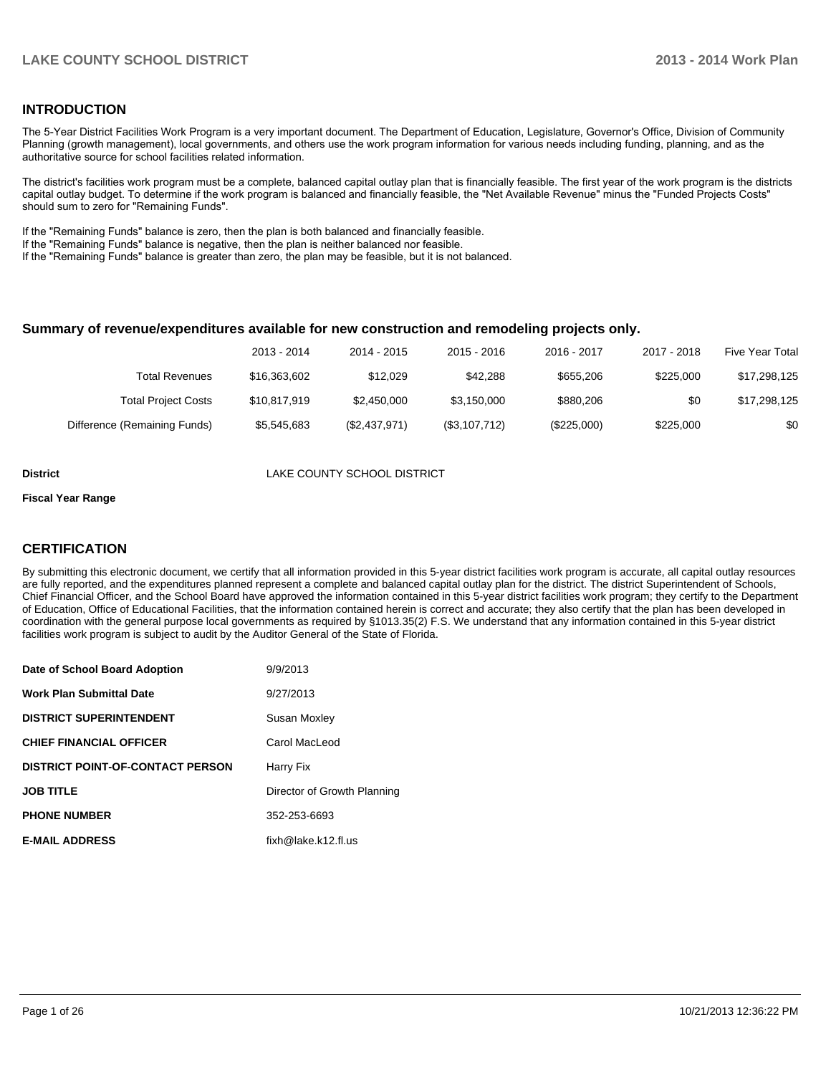#### **INTRODUCTION**

The 5-Year District Facilities Work Program is a very important document. The Department of Education, Legislature, Governor's Office, Division of Community Planning (growth management), local governments, and others use the work program information for various needs including funding, planning, and as the authoritative source for school facilities related information.

The district's facilities work program must be a complete, balanced capital outlay plan that is financially feasible. The first year of the work program is the districts capital outlay budget. To determine if the work program is balanced and financially feasible, the "Net Available Revenue" minus the "Funded Projects Costs" should sum to zero for "Remaining Funds".

If the "Remaining Funds" balance is zero, then the plan is both balanced and financially feasible.

If the "Remaining Funds" balance is negative, then the plan is neither balanced nor feasible.

If the "Remaining Funds" balance is greater than zero, the plan may be feasible, but it is not balanced.

#### **Summary of revenue/expenditures available for new construction and remodeling projects only.**

| Five Year Total | 2017 - 2018 | 2016 - 2017 | $2015 - 2016$ | 2014 - 2015   | 2013 - 2014  |                              |
|-----------------|-------------|-------------|---------------|---------------|--------------|------------------------------|
| \$17,298,125    | \$225,000   | \$655,206   | \$42,288      | \$12.029      | \$16,363,602 | Total Revenues               |
| \$17,298,125    | \$0         | \$880,206   | \$3.150,000   | \$2,450,000   | \$10.817.919 | <b>Total Project Costs</b>   |
| \$0             | \$225,000   | (\$225,000) | (\$3,107,712) | (\$2,437,971) | \$5.545.683  | Difference (Remaining Funds) |

**District District LAKE COUNTY SCHOOL DISTRICT** 

#### **Fiscal Year Range**

#### **CERTIFICATION**

By submitting this electronic document, we certify that all information provided in this 5-year district facilities work program is accurate, all capital outlay resources are fully reported, and the expenditures planned represent a complete and balanced capital outlay plan for the district. The district Superintendent of Schools, Chief Financial Officer, and the School Board have approved the information contained in this 5-year district facilities work program; they certify to the Department of Education, Office of Educational Facilities, that the information contained herein is correct and accurate; they also certify that the plan has been developed in coordination with the general purpose local governments as required by §1013.35(2) F.S. We understand that any information contained in this 5-year district facilities work program is subject to audit by the Auditor General of the State of Florida.

| Date of School Board Adoption           | 9/9/2013                     |
|-----------------------------------------|------------------------------|
| <b>Work Plan Submittal Date</b>         | 9/27/2013                    |
| <b>DISTRICT SUPERINTENDENT</b>          | Susan Moxley                 |
| <b>CHIEF FINANCIAL OFFICER</b>          | Carol MacLeod                |
| <b>DISTRICT POINT-OF-CONTACT PERSON</b> | Harry Fix                    |
| <b>JOB TITLE</b>                        | Director of Growth Planning  |
| <b>PHONE NUMBER</b>                     | 352-253-6693                 |
| <b>E-MAIL ADDRESS</b>                   | $fixh@$ lake, $k12$ . fl. us |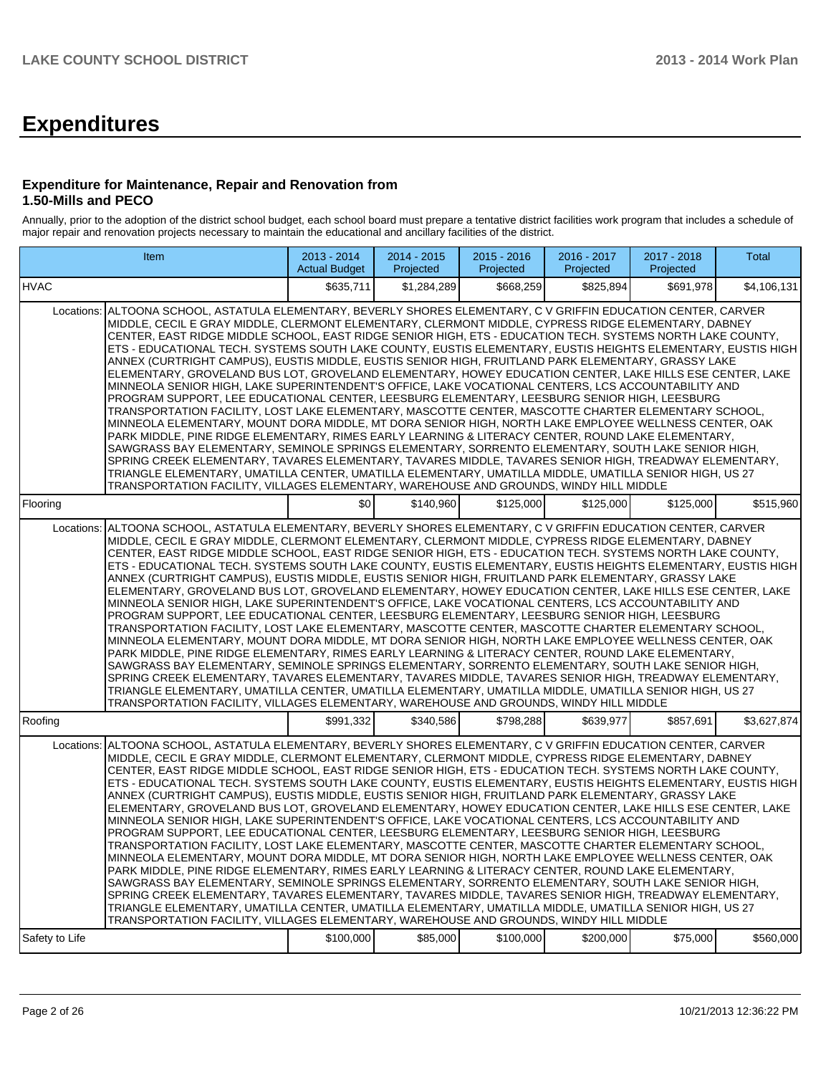# **Expenditures**

#### **Expenditure for Maintenance, Repair and Renovation from 1.50-Mills and PECO**

Annually, prior to the adoption of the district school budget, each school board must prepare a tentative district facilities work program that includes a schedule of major repair and renovation projects necessary to maintain the educational and ancillary facilities of the district.

|                | <b>Item</b>                                                                                                                                                                                                                                                                                                                                                                                                                                                                                                                                                                                                                                                                                                                                                                                                                                                                                                                                                                                                                                                                                                                                                                                                                                                                                                                                                                                                                                                                                                                                                                                                                                                                            | $2013 - 2014$<br><b>Actual Budget</b> | $2014 - 2015$<br>Projected | $2015 - 2016$<br>Projected | 2016 - 2017<br>Projected | 2017 - 2018<br>Projected | Total       |  |  |  |  |
|----------------|----------------------------------------------------------------------------------------------------------------------------------------------------------------------------------------------------------------------------------------------------------------------------------------------------------------------------------------------------------------------------------------------------------------------------------------------------------------------------------------------------------------------------------------------------------------------------------------------------------------------------------------------------------------------------------------------------------------------------------------------------------------------------------------------------------------------------------------------------------------------------------------------------------------------------------------------------------------------------------------------------------------------------------------------------------------------------------------------------------------------------------------------------------------------------------------------------------------------------------------------------------------------------------------------------------------------------------------------------------------------------------------------------------------------------------------------------------------------------------------------------------------------------------------------------------------------------------------------------------------------------------------------------------------------------------------|---------------------------------------|----------------------------|----------------------------|--------------------------|--------------------------|-------------|--|--|--|--|
| <b>HVAC</b>    |                                                                                                                                                                                                                                                                                                                                                                                                                                                                                                                                                                                                                                                                                                                                                                                                                                                                                                                                                                                                                                                                                                                                                                                                                                                                                                                                                                                                                                                                                                                                                                                                                                                                                        | \$635.711                             | \$1.284.289                | \$668.259                  | \$825.894                | \$691.978                | \$4.106.131 |  |  |  |  |
| Locations:     | ALTOONA SCHOOL, ASTATULA ELEMENTARY, BEVERLY SHORES ELEMENTARY, C V GRIFFIN EDUCATION CENTER, CARVER<br>MIDDLE, CECIL E GRAY MIDDLE, CLERMONT ELEMENTARY, CLERMONT MIDDLE, CYPRESS RIDGE ELEMENTARY, DABNEY<br>CENTER. EAST RIDGE MIDDLE SCHOOL. EAST RIDGE SENIOR HIGH. ETS - EDUCATION TECH. SYSTEMS NORTH LAKE COUNTY.<br>ETS - EDUCATIONAL TECH. SYSTEMS SOUTH LAKE COUNTY, EUSTIS ELEMENTARY, EUSTIS HEIGHTS ELEMENTARY, EUSTIS HIGH<br>ANNEX (CURTRIGHT CAMPUS), EUSTIS MIDDLE, EUSTIS SENIOR HIGH, FRUITLAND PARK ELEMENTARY, GRASSY LAKE<br>ELEMENTARY, GROVELAND BUS LOT, GROVELAND ELEMENTARY, HOWEY EDUCATION CENTER, LAKE HILLS ESE CENTER, LAKE<br>MINNEOLA SENIOR HIGH, LAKE SUPERINTENDENT'S OFFICE, LAKE VOCATIONAL CENTERS, LCS ACCOUNTABILITY AND<br>PROGRAM SUPPORT, LEE EDUCATIONAL CENTER, LEESBURG ELEMENTARY, LEESBURG SENIOR HIGH, LEESBURG<br>TRANSPORTATION FACILITY, LOST LAKE ELEMENTARY, MASCOTTE CENTER, MASCOTTE CHARTER ELEMENTARY SCHOOL,<br>MINNEOLA ELEMENTARY, MOUNT DORA MIDDLE, MT DORA SENIOR HIGH, NORTH LAKE EMPLOYEE WELLNESS CENTER, OAK<br>PARK MIDDLE, PINE RIDGE ELEMENTARY, RIMES EARLY LEARNING & LITERACY CENTER, ROUND LAKE ELEMENTARY,<br>SAWGRASS BAY ELEMENTARY, SEMINOLE SPRINGS ELEMENTARY, SORRENTO ELEMENTARY, SOUTH LAKE SENIOR HIGH,<br>SPRING CREEK ELEMENTARY, TAVARES ELEMENTARY, TAVARES MIDDLE, TAVARES SENIOR HIGH, TREADWAY ELEMENTARY,<br>TRIANGLE ELEMENTARY, UMATILLA CENTER, UMATILLA ELEMENTARY, UMATILLA MIDDLE, UMATILLA SENIOR HIGH, US 27<br>TRANSPORTATION FACILITY, VILLAGES ELEMENTARY, WAREHOUSE AND GROUNDS, WINDY HILL MIDDLE<br>\$0<br>\$140.960<br>\$515.960<br>\$125,000<br>\$125,000<br>\$125,000 |                                       |                            |                            |                          |                          |             |  |  |  |  |
| Flooring       |                                                                                                                                                                                                                                                                                                                                                                                                                                                                                                                                                                                                                                                                                                                                                                                                                                                                                                                                                                                                                                                                                                                                                                                                                                                                                                                                                                                                                                                                                                                                                                                                                                                                                        |                                       |                            |                            |                          |                          |             |  |  |  |  |
| Locations:     | ALTOONA SCHOOL, ASTATULA ELEMENTARY, BEVERLY SHORES ELEMENTARY, C V GRIFFIN EDUCATION CENTER, CARVER<br>MIDDLE, CECIL E GRAY MIDDLE, CLERMONT ELEMENTARY, CLERMONT MIDDLE, CYPRESS RIDGE ELEMENTARY, DABNEY<br>CENTER, EAST RIDGE MIDDLE SCHOOL, EAST RIDGE SENIOR HIGH, ETS - EDUCATION TECH. SYSTEMS NORTH LAKE COUNTY,<br>ETS - EDUCATIONAL TECH. SYSTEMS SOUTH LAKE COUNTY, EUSTIS ELEMENTARY, EUSTIS HEIGHTS ELEMENTARY, EUSTIS HIGH<br>ANNEX (CURTRIGHT CAMPUS), EUSTIS MIDDLE, EUSTIS SENIOR HIGH, FRUITLAND PARK ELEMENTARY, GRASSY LAKE<br>ELEMENTARY, GROVELAND BUS LOT, GROVELAND ELEMENTARY, HOWEY EDUCATION CENTER, LAKE HILLS ESE CENTER, LAKE<br>MINNEOLA SENIOR HIGH, LAKE SUPERINTENDENT'S OFFICE, LAKE VOCATIONAL CENTERS, LCS ACCOUNTABILITY AND<br>PROGRAM SUPPORT, LEE EDUCATIONAL CENTER, LEESBURG ELEMENTARY, LEESBURG SENIOR HIGH, LEESBURG<br>TRANSPORTATION FACILITY, LOST LAKE ELEMENTARY, MASCOTTE CENTER, MASCOTTE CHARTER ELEMENTARY SCHOOL,<br>MINNEOLA ELEMENTARY, MOUNT DORA MIDDLE, MT DORA SENIOR HIGH, NORTH LAKE EMPLOYEE WELLNESS CENTER, OAK<br>PARK MIDDLE, PINE RIDGE ELEMENTARY, RIMES EARLY LEARNING & LITERACY CENTER, ROUND LAKE ELEMENTARY,<br>SAWGRASS BAY ELEMENTARY, SEMINOLE SPRINGS ELEMENTARY, SORRENTO ELEMENTARY, SOUTH LAKE SENIOR HIGH,<br>SPRING CREEK ELEMENTARY, TAVARES ELEMENTARY, TAVARES MIDDLE, TAVARES SENIOR HIGH, TREADWAY ELEMENTARY,<br>TRIANGLE ELEMENTARY, UMATILLA CENTER, UMATILLA ELEMENTARY, UMATILLA MIDDLE, UMATILLA SENIOR HIGH, US 27<br>TRANSPORTATION FACILITY, VILLAGES ELEMENTARY, WAREHOUSE AND GROUNDS, WINDY HILL MIDDLE                                                                         |                                       |                            |                            |                          |                          |             |  |  |  |  |
| Roofing        |                                                                                                                                                                                                                                                                                                                                                                                                                                                                                                                                                                                                                                                                                                                                                                                                                                                                                                                                                                                                                                                                                                                                                                                                                                                                                                                                                                                                                                                                                                                                                                                                                                                                                        | \$991.332                             | \$340.586                  | \$798.288                  | \$639.977                | \$857,691                | \$3.627.874 |  |  |  |  |
|                | Locations: ALTOONA SCHOOL, ASTATULA ELEMENTARY, BEVERLY SHORES ELEMENTARY, C V GRIFFIN EDUCATION CENTER, CARVER<br>MIDDLE, CECIL E GRAY MIDDLE, CLERMONT ELEMENTARY, CLERMONT MIDDLE, CYPRESS RIDGE ELEMENTARY, DABNEY<br>CENTER, EAST RIDGE MIDDLE SCHOOL, EAST RIDGE SENIOR HIGH, ETS - EDUCATION TECH. SYSTEMS NORTH LAKE COUNTY,<br>ETS - EDUCATIONAL TECH. SYSTEMS SOUTH LAKE COUNTY, EUSTIS ELEMENTARY, EUSTIS HEIGHTS ELEMENTARY, EUSTIS HIGH<br>ANNEX (CURTRIGHT CAMPUS), EUSTIS MIDDLE, EUSTIS SENIOR HIGH, FRUITLAND PARK ELEMENTARY, GRASSY LAKE<br>ELEMENTARY, GROVELAND BUS LOT, GROVELAND ELEMENTARY, HOWEY EDUCATION CENTER, LAKE HILLS ESE CENTER, LAKE<br>MINNEOLA SENIOR HIGH, LAKE SUPERINTENDENT'S OFFICE, LAKE VOCATIONAL CENTERS, LCS ACCOUNTABILITY AND<br>PROGRAM SUPPORT, LEE EDUCATIONAL CENTER, LEESBURG ELEMENTARY, LEESBURG SENIOR HIGH, LEESBURG<br>TRANSPORTATION FACILITY. LOST LAKE ELEMENTARY. MASCOTTE CENTER. MASCOTTE CHARTER ELEMENTARY SCHOOL.<br>MINNEOLA ELEMENTARY, MOUNT DORA MIDDLE, MT DORA SENIOR HIGH, NORTH LAKE EMPLOYEE WELLNESS CENTER, OAK<br>PARK MIDDLE, PINE RIDGE ELEMENTARY, RIMES EARLY LEARNING & LITERACY CENTER, ROUND LAKE ELEMENTARY,<br>SAWGRASS BAY ELEMENTARY, SEMINOLE SPRINGS ELEMENTARY, SORRENTO ELEMENTARY, SOUTH LAKE SENIOR HIGH,<br>SPRING CREEK ELEMENTARY, TAVARES ELEMENTARY, TAVARES MIDDLE, TAVARES SENIOR HIGH, TREADWAY ELEMENTARY,<br>TRIANGLE ELEMENTARY, UMATILLA CENTER, UMATILLA ELEMENTARY, UMATILLA MIDDLE, UMATILLA SENIOR HIGH, US 27<br>TRANSPORTATION FACILITY, VILLAGES ELEMENTARY, WAREHOUSE AND GROUNDS, WINDY HILL MIDDLE                                                              |                                       |                            |                            |                          |                          |             |  |  |  |  |
| Safety to Life |                                                                                                                                                                                                                                                                                                                                                                                                                                                                                                                                                                                                                                                                                                                                                                                                                                                                                                                                                                                                                                                                                                                                                                                                                                                                                                                                                                                                                                                                                                                                                                                                                                                                                        | \$100,000                             | \$85,000                   | \$100,000                  | \$200,000                | \$75,000                 | \$560,000   |  |  |  |  |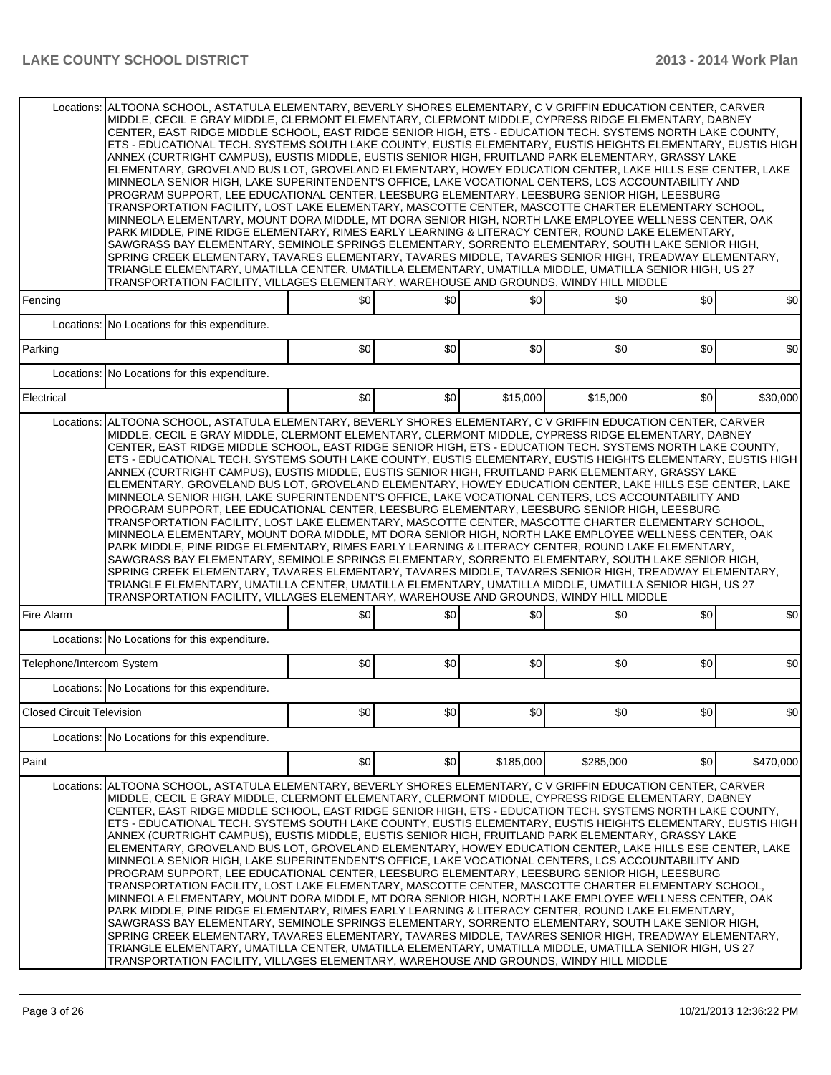|                                  | Locations: ALTOONA SCHOOL, ASTATULA ELEMENTARY, BEVERLY SHORES ELEMENTARY, C V GRIFFIN EDUCATION CENTER, CARVER<br>MIDDLE, CECIL E GRAY MIDDLE, CLERMONT ELEMENTARY, CLERMONT MIDDLE, CYPRESS RIDGE ELEMENTARY, DABNEY<br>CENTER, EAST RIDGE MIDDLE SCHOOL, EAST RIDGE SENIOR HIGH, ETS - EDUCATION TECH, SYSTEMS NORTH LAKE COUNTY.<br>ETS - EDUCATIONAL TECH. SYSTEMS SOUTH LAKE COUNTY, EUSTIS ELEMENTARY, EUSTIS HEIGHTS ELEMENTARY, EUSTIS HIGH<br>ANNEX (CURTRIGHT CAMPUS), EUSTIS MIDDLE, EUSTIS SENIOR HIGH, FRUITLAND PARK ELEMENTARY, GRASSY LAKE<br>ELEMENTARY, GROVELAND BUS LOT, GROVELAND ELEMENTARY, HOWEY EDUCATION CENTER, LAKE HILLS ESE CENTER, LAKE<br>MINNEOLA SENIOR HIGH, LAKE SUPERINTENDENT'S OFFICE, LAKE VOCATIONAL CENTERS, LCS ACCOUNTABILITY AND<br>PROGRAM SUPPORT, LEE EDUCATIONAL CENTER, LEESBURG ELEMENTARY, LEESBURG SENIOR HIGH, LEESBURG<br>TRANSPORTATION FACILITY, LOST LAKE ELEMENTARY, MASCOTTE CENTER, MASCOTTE CHARTER ELEMENTARY SCHOOL,<br>MINNEOLA ELEMENTARY, MOUNT DORA MIDDLE, MT DORA SENIOR HIGH, NORTH LAKE EMPLOYEE WELLNESS CENTER, OAK<br>PARK MIDDLE, PINE RIDGE ELEMENTARY, RIMES EARLY LEARNING & LITERACY CENTER, ROUND LAKE ELEMENTARY,<br>SAWGRASS BAY ELEMENTARY, SEMINOLE SPRINGS ELEMENTARY, SORRENTO ELEMENTARY, SOUTH LAKE SENIOR HIGH,<br>SPRING CREEK ELEMENTARY, TAVARES ELEMENTARY, TAVARES MIDDLE, TAVARES SENIOR HIGH, TREADWAY ELEMENTARY,<br>TRIANGLE ELEMENTARY, UMATILLA CENTER, UMATILLA ELEMENTARY, UMATILLA MIDDLE, UMATILLA SENIOR HIGH, US 27<br>TRANSPORTATION FACILITY, VILLAGES ELEMENTARY, WAREHOUSE AND GROUNDS, WINDY HILL MIDDLE |     |     |           |           |     |           |  |  |
|----------------------------------|---------------------------------------------------------------------------------------------------------------------------------------------------------------------------------------------------------------------------------------------------------------------------------------------------------------------------------------------------------------------------------------------------------------------------------------------------------------------------------------------------------------------------------------------------------------------------------------------------------------------------------------------------------------------------------------------------------------------------------------------------------------------------------------------------------------------------------------------------------------------------------------------------------------------------------------------------------------------------------------------------------------------------------------------------------------------------------------------------------------------------------------------------------------------------------------------------------------------------------------------------------------------------------------------------------------------------------------------------------------------------------------------------------------------------------------------------------------------------------------------------------------------------------------------------------------------------------------------------------------------------|-----|-----|-----------|-----------|-----|-----------|--|--|
| Fencing                          |                                                                                                                                                                                                                                                                                                                                                                                                                                                                                                                                                                                                                                                                                                                                                                                                                                                                                                                                                                                                                                                                                                                                                                                                                                                                                                                                                                                                                                                                                                                                                                                                                           | \$0 | \$0 | \$0       | \$0       | \$0 | \$0       |  |  |
|                                  | Locations: No Locations for this expenditure.                                                                                                                                                                                                                                                                                                                                                                                                                                                                                                                                                                                                                                                                                                                                                                                                                                                                                                                                                                                                                                                                                                                                                                                                                                                                                                                                                                                                                                                                                                                                                                             |     |     |           |           |     |           |  |  |
| Parking                          |                                                                                                                                                                                                                                                                                                                                                                                                                                                                                                                                                                                                                                                                                                                                                                                                                                                                                                                                                                                                                                                                                                                                                                                                                                                                                                                                                                                                                                                                                                                                                                                                                           | \$0 | \$0 | \$0       | \$0       | \$0 | \$0       |  |  |
| Locations:                       | No Locations for this expenditure.                                                                                                                                                                                                                                                                                                                                                                                                                                                                                                                                                                                                                                                                                                                                                                                                                                                                                                                                                                                                                                                                                                                                                                                                                                                                                                                                                                                                                                                                                                                                                                                        |     |     |           |           |     |           |  |  |
| Electrical                       |                                                                                                                                                                                                                                                                                                                                                                                                                                                                                                                                                                                                                                                                                                                                                                                                                                                                                                                                                                                                                                                                                                                                                                                                                                                                                                                                                                                                                                                                                                                                                                                                                           | \$0 | \$0 | \$15,000  | \$15,000  | \$0 | \$30,000  |  |  |
| Locations:                       | ALTOONA SCHOOL, ASTATULA ELEMENTARY, BEVERLY SHORES ELEMENTARY, C V GRIFFIN EDUCATION CENTER, CARVER<br>MIDDLE, CECIL E GRAY MIDDLE, CLERMONT ELEMENTARY, CLERMONT MIDDLE, CYPRESS RIDGE ELEMENTARY, DABNEY<br>CENTER, EAST RIDGE MIDDLE SCHOOL, EAST RIDGE SENIOR HIGH, ETS - EDUCATION TECH. SYSTEMS NORTH LAKE COUNTY,<br>ETS - EDUCATIONAL TECH. SYSTEMS SOUTH LAKE COUNTY, EUSTIS ELEMENTARY, EUSTIS HEIGHTS ELEMENTARY, EUSTIS HIGH<br>ANNEX (CURTRIGHT CAMPUS), EUSTIS MIDDLE, EUSTIS SENIOR HIGH, FRUITLAND PARK ELEMENTARY, GRASSY LAKE<br>ELEMENTARY, GROVELAND BUS LOT, GROVELAND ELEMENTARY, HOWEY EDUCATION CENTER, LAKE HILLS ESE CENTER, LAKE<br>MINNEOLA SENIOR HIGH, LAKE SUPERINTENDENT'S OFFICE, LAKE VOCATIONAL CENTERS, LCS ACCOUNTABILITY AND<br>PROGRAM SUPPORT, LEE EDUCATIONAL CENTER, LEESBURG ELEMENTARY, LEESBURG SENIOR HIGH, LEESBURG<br>TRANSPORTATION FACILITY, LOST LAKE ELEMENTARY, MASCOTTE CENTER, MASCOTTE CHARTER ELEMENTARY SCHOOL,<br>MINNEOLA ELEMENTARY, MOUNT DORA MIDDLE, MT DORA SENIOR HIGH, NORTH LAKE EMPLOYEE WELLNESS CENTER, OAK<br>PARK MIDDLE, PINE RIDGE ELEMENTARY, RIMES EARLY LEARNING & LITERACY CENTER, ROUND LAKE ELEMENTARY,<br>SAWGRASS BAY ELEMENTARY, SEMINOLE SPRINGS ELEMENTARY, SORRENTO ELEMENTARY, SOUTH LAKE SENIOR HIGH,<br>SPRING CREEK ELEMENTARY, TAVARES ELEMENTARY, TAVARES MIDDLE, TAVARES SENIOR HIGH, TREADWAY ELEMENTARY,<br>TRIANGLE ELEMENTARY, UMATILLA CENTER, UMATILLA ELEMENTARY, UMATILLA MIDDLE, UMATILLA SENIOR HIGH, US 27<br>TRANSPORTATION FACILITY, VILLAGES ELEMENTARY, WAREHOUSE AND GROUNDS, WINDY HILL MIDDLE            |     |     |           |           |     |           |  |  |
| Fire Alarm                       |                                                                                                                                                                                                                                                                                                                                                                                                                                                                                                                                                                                                                                                                                                                                                                                                                                                                                                                                                                                                                                                                                                                                                                                                                                                                                                                                                                                                                                                                                                                                                                                                                           | \$0 | \$0 | \$0       | \$0       | \$0 | \$0       |  |  |
|                                  | Locations: No Locations for this expenditure.                                                                                                                                                                                                                                                                                                                                                                                                                                                                                                                                                                                                                                                                                                                                                                                                                                                                                                                                                                                                                                                                                                                                                                                                                                                                                                                                                                                                                                                                                                                                                                             |     |     |           |           |     |           |  |  |
| Telephone/Intercom System        |                                                                                                                                                                                                                                                                                                                                                                                                                                                                                                                                                                                                                                                                                                                                                                                                                                                                                                                                                                                                                                                                                                                                                                                                                                                                                                                                                                                                                                                                                                                                                                                                                           | \$0 | \$0 | \$0       | \$0       | \$0 | \$0       |  |  |
|                                  | Locations: No Locations for this expenditure.                                                                                                                                                                                                                                                                                                                                                                                                                                                                                                                                                                                                                                                                                                                                                                                                                                                                                                                                                                                                                                                                                                                                                                                                                                                                                                                                                                                                                                                                                                                                                                             |     |     |           |           |     |           |  |  |
| <b>Closed Circuit Television</b> |                                                                                                                                                                                                                                                                                                                                                                                                                                                                                                                                                                                                                                                                                                                                                                                                                                                                                                                                                                                                                                                                                                                                                                                                                                                                                                                                                                                                                                                                                                                                                                                                                           | \$0 | \$0 | \$0       | \$0       | \$0 | \$0       |  |  |
| Locations:                       | No Locations for this expenditure.                                                                                                                                                                                                                                                                                                                                                                                                                                                                                                                                                                                                                                                                                                                                                                                                                                                                                                                                                                                                                                                                                                                                                                                                                                                                                                                                                                                                                                                                                                                                                                                        |     |     |           |           |     |           |  |  |
| Paint                            |                                                                                                                                                                                                                                                                                                                                                                                                                                                                                                                                                                                                                                                                                                                                                                                                                                                                                                                                                                                                                                                                                                                                                                                                                                                                                                                                                                                                                                                                                                                                                                                                                           | \$0 | \$0 | \$185,000 | \$285,000 | \$0 | \$470,000 |  |  |
| Locations:                       | ALTOONA SCHOOL. ASTATULA ELEMENTARY. BEVERLY SHORES ELEMENTARY. C V GRIFFIN EDUCATION CENTER. CARVER<br>MIDDLE, CECIL E GRAY MIDDLE, CLERMONT ELEMENTARY, CLERMONT MIDDLE, CYPRESS RIDGE ELEMENTARY, DABNEY<br>CENTER, EAST RIDGE MIDDLE SCHOOL, EAST RIDGE SENIOR HIGH, ETS - EDUCATION TECH. SYSTEMS NORTH LAKE COUNTY,<br>ETS - EDUCATIONAL TECH. SYSTEMS SOUTH LAKE COUNTY, EUSTIS ELEMENTARY, EUSTIS HEIGHTS ELEMENTARY, EUSTIS HIGH<br>ANNEX (CURTRIGHT CAMPUS). EUSTIS MIDDLE. EUSTIS SENIOR HIGH. FRUITLAND PARK ELEMENTARY. GRASSY LAKE<br>ELEMENTARY, GROVELAND BUS LOT, GROVELAND ELEMENTARY, HOWEY EDUCATION CENTER, LAKE HILLS ESE CENTER, LAKE<br>MINNEOLA SENIOR HIGH, LAKE SUPERINTENDENT'S OFFICE, LAKE VOCATIONAL CENTERS, LCS ACCOUNTABILITY AND<br>PROGRAM SUPPORT, LEE EDUCATIONAL CENTER, LEESBURG ELEMENTARY, LEESBURG SENIOR HIGH, LEESBURG<br>TRANSPORTATION FACILITY, LOST LAKE ELEMENTARY, MASCOTTE CENTER, MASCOTTE CHARTER ELEMENTARY SCHOOL,<br>MINNEOLA ELEMENTARY, MOUNT DORA MIDDLE, MT DORA SENIOR HIGH, NORTH LAKE EMPLOYEE WELLNESS CENTER, OAK<br>PARK MIDDLE, PINE RIDGE ELEMENTARY, RIMES EARLY LEARNING & LITERACY CENTER, ROUND LAKE ELEMENTARY,<br>SAWGRASS BAY ELEMENTARY, SEMINOLE SPRINGS ELEMENTARY, SORRENTO ELEMENTARY, SOUTH LAKE SENIOR HIGH,<br>SPRING CREEK ELEMENTARY, TAVARES ELEMENTARY, TAVARES MIDDLE, TAVARES SENIOR HIGH, TREADWAY ELEMENTARY,<br>TRIANGLE ELEMENTARY, UMATILLA CENTER, UMATILLA ELEMENTARY, UMATILLA MIDDLE, UMATILLA SENIOR HIGH, US 27<br>TRANSPORTATION FACILITY, VILLAGES ELEMENTARY, WAREHOUSE AND GROUNDS, WINDY HILL MIDDLE            |     |     |           |           |     |           |  |  |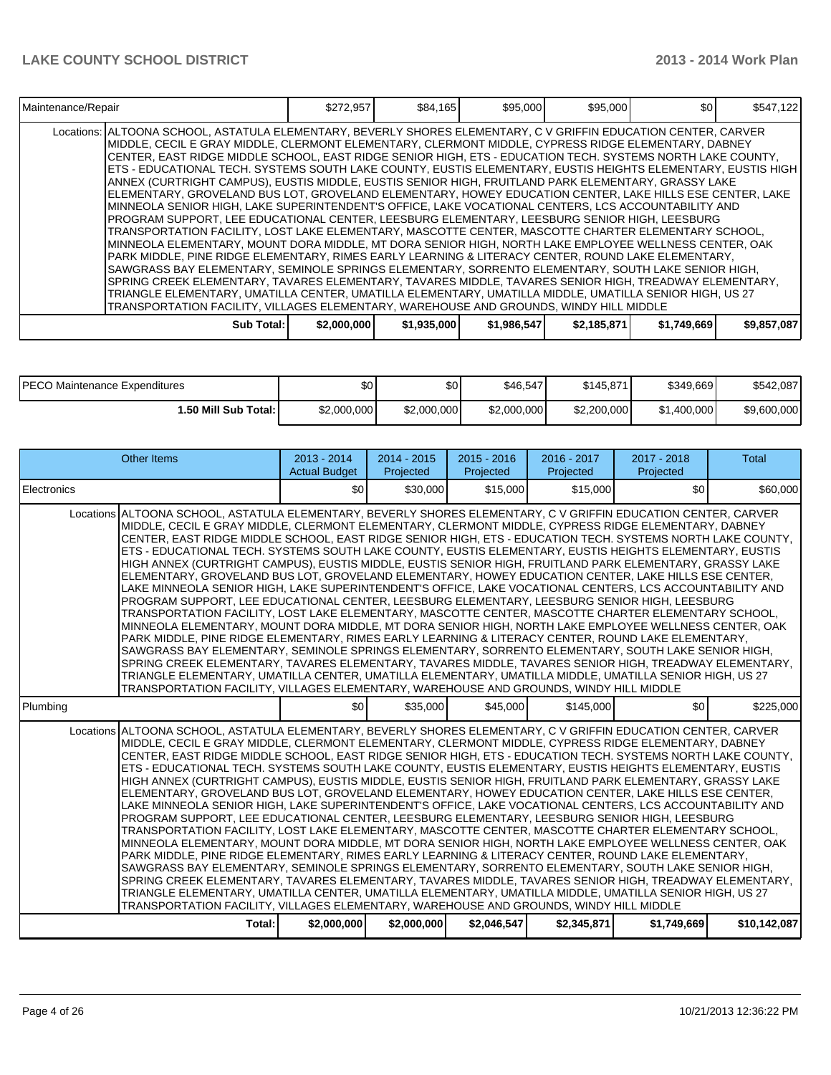| Maintenance/Repair                                                                                                                                                                                                                                                                                                                                                                                                                                                                                                                                                                                                                                                                                                                                                                                                                                                                                                                                                                                                                                                                                                                                                                                                                                                                                                                                                                                                                                                                                                                                                                                                         | \$272,957   | \$84,165    | \$95,000    | \$95,000    | \$0         | \$547,122   |
|----------------------------------------------------------------------------------------------------------------------------------------------------------------------------------------------------------------------------------------------------------------------------------------------------------------------------------------------------------------------------------------------------------------------------------------------------------------------------------------------------------------------------------------------------------------------------------------------------------------------------------------------------------------------------------------------------------------------------------------------------------------------------------------------------------------------------------------------------------------------------------------------------------------------------------------------------------------------------------------------------------------------------------------------------------------------------------------------------------------------------------------------------------------------------------------------------------------------------------------------------------------------------------------------------------------------------------------------------------------------------------------------------------------------------------------------------------------------------------------------------------------------------------------------------------------------------------------------------------------------------|-------------|-------------|-------------|-------------|-------------|-------------|
| Locations: ALTOONA SCHOOL, ASTATULA ELEMENTARY, BEVERLY SHORES ELEMENTARY, C V GRIFFIN EDUCATION CENTER, CARVER<br>MIDDLE, CECIL E GRAY MIDDLE, CLERMONT ELEMENTARY, CLERMONT MIDDLE, CYPRESS RIDGE ELEMENTARY, DABNEY<br>CENTER, EAST RIDGE MIDDLE SCHOOL, EAST RIDGE SENIOR HIGH, ETS - EDUCATION TECH. SYSTEMS NORTH LAKE COUNTY,<br> ETS - EDUCATIONAL TECH. SYSTEMS SOUTH LAKE COUNTY, EUSTIS ELEMENTARY, EUSTIS HEIGHTS ELEMENTARY, EUSTIS HIGH<br>ANNEX (CURTRIGHT CAMPUS), EUSTIS MIDDLE, EUSTIS SENIOR HIGH, FRUITLAND PARK ELEMENTARY, GRASSY LAKE<br>ELEMENTARY, GROVELAND BUS LOT, GROVELAND ELEMENTARY, HOWEY EDUCATION CENTER, LAKE HILLS ESE CENTER, LAKE<br>MINNEOLA SENIOR HIGH, LAKE SUPERINTENDENT'S OFFICE, LAKE VOCATIONAL CENTERS, LCS ACCOUNTABILITY AND<br>PROGRAM SUPPORT, LEE EDUCATIONAL CENTER, LEESBURG ELEMENTARY, LEESBURG SENIOR HIGH, LEESBURG<br>TRANSPORTATION FACILITY, LOST LAKE ELEMENTARY, MASCOTTE CENTER, MASCOTTE CHARTER ELEMENTARY SCHOOL,<br>MINNEOLA ELEMENTARY, MOUNT DORA MIDDLE, MT DORA SENIOR HIGH, NORTH LAKE EMPLOYEE WELLNESS CENTER, OAK<br>PARK MIDDLE, PINE RIDGE ELEMENTARY, RIMES EARLY LEARNING & LITERACY CENTER, ROUND LAKE ELEMENTARY,<br>SAWGRASS BAY ELEMENTARY, SEMINOLE SPRINGS ELEMENTARY, SORRENTO ELEMENTARY, SOUTH LAKE SENIOR HIGH,<br>SPRING CREEK ELEMENTARY, TAVARES ELEMENTARY, TAVARES MIDDLE, TAVARES SENIOR HIGH, TREADWAY ELEMENTARY,<br>TRIANGLE ELEMENTARY, UMATILLA CENTER, UMATILLA ELEMENTARY, UMATILLA MIDDLE, UMATILLA SENIOR HIGH, US 27<br>TRANSPORTATION FACILITY, VILLAGES ELEMENTARY, WAREHOUSE AND GROUNDS, WINDY HILL MIDDLE |             |             |             |             |             |             |
| Sub Total:                                                                                                                                                                                                                                                                                                                                                                                                                                                                                                                                                                                                                                                                                                                                                                                                                                                                                                                                                                                                                                                                                                                                                                                                                                                                                                                                                                                                                                                                                                                                                                                                                 | \$2,000,000 | \$1,935,000 | \$1,986,547 | \$2,185,871 | \$1,749,669 | \$9,857,087 |

| <b>IPECO Maintenance Expenditures</b> | ሱስ<br>JU'   | ሱስ<br>JU.   | \$46.547    | \$145.871   | \$349.669   | \$542.087   |
|---------------------------------------|-------------|-------------|-------------|-------------|-------------|-------------|
| 1.50 Mill Sub Total: I                | \$2,000,000 | \$2,000,000 | \$2,000,000 | \$2,200,000 | \$1,400,000 | \$9,600,000 |

| <b>Other Items</b>                                                                                                                                                                                                                                                                                                                                                                                                                                                                                                                                                                                                                                                                                                                                                                                                                                                                                                                                                                                                                                                                                                                                                                                                                                                                                                                                                                                                                                                                                                                                                                                                       |        | $2013 - 2014$<br><b>Actual Budget</b> | $2014 - 2015$<br>Projected | $2015 - 2016$<br>Projected | 2016 - 2017<br>Projected | 2017 - 2018<br>Projected | <b>Total</b> |
|--------------------------------------------------------------------------------------------------------------------------------------------------------------------------------------------------------------------------------------------------------------------------------------------------------------------------------------------------------------------------------------------------------------------------------------------------------------------------------------------------------------------------------------------------------------------------------------------------------------------------------------------------------------------------------------------------------------------------------------------------------------------------------------------------------------------------------------------------------------------------------------------------------------------------------------------------------------------------------------------------------------------------------------------------------------------------------------------------------------------------------------------------------------------------------------------------------------------------------------------------------------------------------------------------------------------------------------------------------------------------------------------------------------------------------------------------------------------------------------------------------------------------------------------------------------------------------------------------------------------------|--------|---------------------------------------|----------------------------|----------------------------|--------------------------|--------------------------|--------------|
| Electronics                                                                                                                                                                                                                                                                                                                                                                                                                                                                                                                                                                                                                                                                                                                                                                                                                                                                                                                                                                                                                                                                                                                                                                                                                                                                                                                                                                                                                                                                                                                                                                                                              |        | \$0                                   | \$30,000                   | \$15,000                   | \$15,000                 | \$0                      | \$60,000     |
| Locations ALTOONA SCHOOL, ASTATULA ELEMENTARY, BEVERLY SHORES ELEMENTARY, C V GRIFFIN EDUCATION CENTER, CARVER<br>MIDDLE, CECIL E GRAY MIDDLE, CLERMONT ELEMENTARY, CLERMONT MIDDLE, CYPRESS RIDGE ELEMENTARY, DABNEY<br>CENTER, EAST RIDGE MIDDLE SCHOOL, EAST RIDGE SENIOR HIGH, ETS - EDUCATION TECH. SYSTEMS NORTH LAKE COUNTY,<br>ETS - EDUCATIONAL TECH. SYSTEMS SOUTH LAKE COUNTY, EUSTIS ELEMENTARY, EUSTIS HEIGHTS ELEMENTARY, EUSTIS<br>HIGH ANNEX (CURTRIGHT CAMPUS), EUSTIS MIDDLE, EUSTIS SENIOR HIGH, FRUITLAND PARK ELEMENTARY, GRASSY LAKE<br>ELEMENTARY, GROVELAND BUS LOT, GROVELAND ELEMENTARY, HOWEY EDUCATION CENTER, LAKE HILLS ESE CENTER,<br>LAKE MINNEOLA SENIOR HIGH. LAKE SUPERINTENDENT'S OFFICE. LAKE VOCATIONAL CENTERS. LCS ACCOUNTABILITY AND<br>PROGRAM SUPPORT, LEE EDUCATIONAL CENTER, LEESBURG ELEMENTARY, LEESBURG SENIOR HIGH, LEESBURG<br>TRANSPORTATION FACILITY, LOST LAKE ELEMENTARY, MASCOTTE CENTER, MASCOTTE CHARTER ELEMENTARY SCHOOL,<br>MINNEOLA ELEMENTARY, MOUNT DORA MIDDLE, MT DORA SENIOR HIGH, NORTH LAKE EMPLOYEE WELLNESS CENTER, OAK<br>PARK MIDDLE, PINE RIDGE ELEMENTARY, RIMES EARLY LEARNING & LITERACY CENTER, ROUND LAKE ELEMENTARY,<br>SAWGRASS BAY ELEMENTARY, SEMINOLE SPRINGS ELEMENTARY, SORRENTO ELEMENTARY, SOUTH LAKE SENIOR HIGH,<br>SPRING CREEK ELEMENTARY, TAVARES ELEMENTARY, TAVARES MIDDLE, TAVARES SENIOR HIGH, TREADWAY ELEMENTARY,<br>TRIANGLE ELEMENTARY, UMATILLA CENTER, UMATILLA ELEMENTARY, UMATILLA MIDDLE, UMATILLA SENIOR HIGH, US 27<br>TRANSPORTATION FACILITY, VILLAGES ELEMENTARY, WAREHOUSE AND GROUNDS, WINDY HILL MIDDLE |        |                                       |                            |                            |                          |                          |              |
| Plumbing                                                                                                                                                                                                                                                                                                                                                                                                                                                                                                                                                                                                                                                                                                                                                                                                                                                                                                                                                                                                                                                                                                                                                                                                                                                                                                                                                                                                                                                                                                                                                                                                                 |        | \$0                                   | \$35,000                   | \$45,000                   | \$145,000                | \$0                      | \$225,000    |
| Locations ALTOONA SCHOOL, ASTATULA ELEMENTARY, BEVERLY SHORES ELEMENTARY, C V GRIFFIN EDUCATION CENTER, CARVER<br>MIDDLE, CECIL E GRAY MIDDLE, CLERMONT ELEMENTARY, CLERMONT MIDDLE, CYPRESS RIDGE ELEMENTARY, DABNEY<br>CENTER, EAST RIDGE MIDDLE SCHOOL, EAST RIDGE SENIOR HIGH, ETS - EDUCATION TECH. SYSTEMS NORTH LAKE COUNTY,<br>ETS - EDUCATIONAL TECH. SYSTEMS SOUTH LAKE COUNTY, EUSTIS ELEMENTARY, EUSTIS HEIGHTS ELEMENTARY, EUSTIS<br>HIGH ANNEX (CURTRIGHT CAMPUS), EUSTIS MIDDLE, EUSTIS SENIOR HIGH, FRUITLAND PARK ELEMENTARY, GRASSY LAKE<br>ELEMENTARY, GROVELAND BUS LOT, GROVELAND ELEMENTARY, HOWEY EDUCATION CENTER, LAKE HILLS ESE CENTER,<br>LAKE MINNEOLA SENIOR HIGH, LAKE SUPERINTENDENT'S OFFICE, LAKE VOCATIONAL CENTERS, LCS ACCOUNTABILITY AND<br>PROGRAM SUPPORT, LEE EDUCATIONAL CENTER, LEESBURG ELEMENTARY, LEESBURG SENIOR HIGH, LEESBURG<br>TRANSPORTATION FACILITY, LOST LAKE ELEMENTARY, MASCOTTE CENTER, MASCOTTE CHARTER ELEMENTARY SCHOOL,<br>MINNEOLA ELEMENTARY, MOUNT DORA MIDDLE, MT DORA SENIOR HIGH, NORTH LAKE EMPLOYEE WELLNESS CENTER, OAK<br>PARK MIDDLE, PINE RIDGE ELEMENTARY, RIMES EARLY LEARNING & LITERACY CENTER, ROUND LAKE ELEMENTARY,<br>SAWGRASS BAY ELEMENTARY, SEMINOLE SPRINGS ELEMENTARY, SORRENTO ELEMENTARY, SOUTH LAKE SENIOR HIGH,<br>SPRING CREEK ELEMENTARY, TAVARES ELEMENTARY, TAVARES MIDDLE, TAVARES SENIOR HIGH, TREADWAY ELEMENTARY,<br>TRIANGLE ELEMENTARY, UMATILLA CENTER, UMATILLA ELEMENTARY, UMATILLA MIDDLE, UMATILLA SENIOR HIGH, US 27<br>TRANSPORTATION FACILITY, VILLAGES ELEMENTARY, WAREHOUSE AND GROUNDS, WINDY HILL MIDDLE |        |                                       |                            |                            |                          |                          |              |
|                                                                                                                                                                                                                                                                                                                                                                                                                                                                                                                                                                                                                                                                                                                                                                                                                                                                                                                                                                                                                                                                                                                                                                                                                                                                                                                                                                                                                                                                                                                                                                                                                          | Total: | \$2,000,000                           | \$2,000,000                | \$2.046.547                | \$2.345.871              | \$1.749.669              | \$10,142,087 |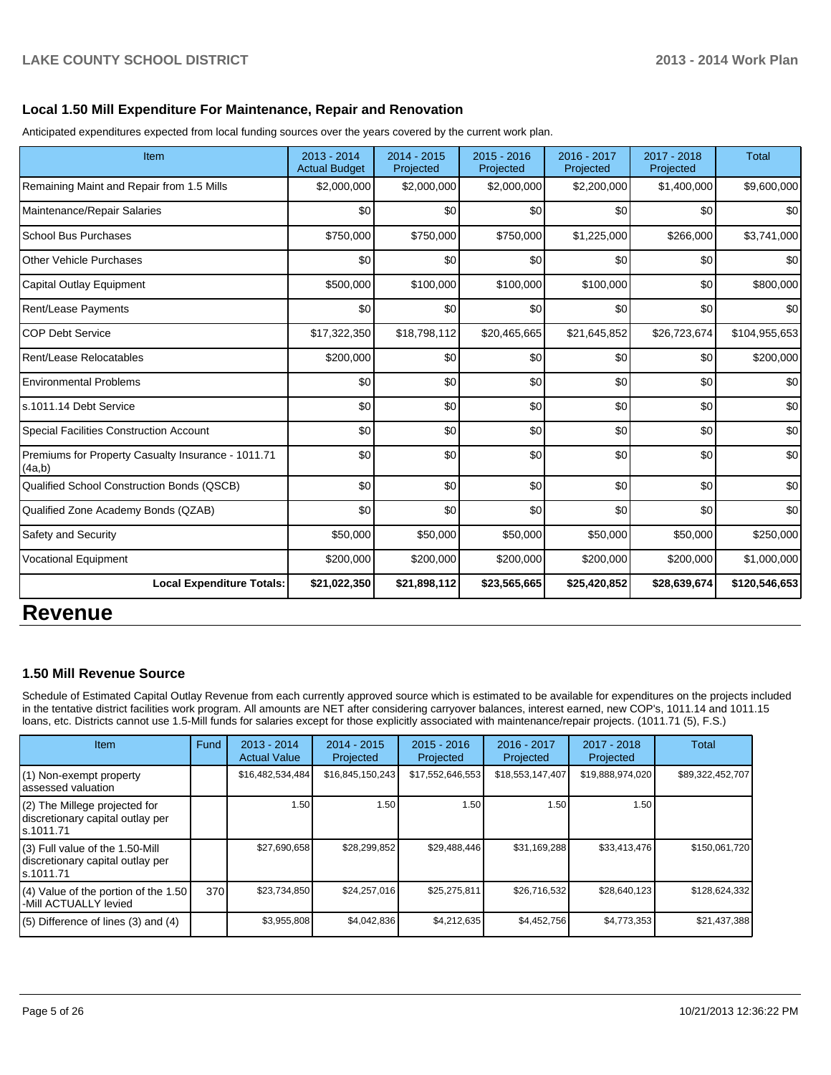#### **Local 1.50 Mill Expenditure For Maintenance, Repair and Renovation**

Anticipated expenditures expected from local funding sources over the years covered by the current work plan.

| Item                                                         | 2013 - 2014<br><b>Actual Budget</b> | 2014 - 2015<br>Projected | 2015 - 2016<br>Projected | 2016 - 2017<br>Projected | 2017 - 2018<br>Projected | <b>Total</b>  |
|--------------------------------------------------------------|-------------------------------------|--------------------------|--------------------------|--------------------------|--------------------------|---------------|
| Remaining Maint and Repair from 1.5 Mills                    | \$2,000,000                         | \$2,000,000              | \$2,000,000              | \$2,200,000              | \$1,400,000              | \$9,600,000   |
| Maintenance/Repair Salaries                                  | \$0                                 | \$0                      | \$0                      | \$0                      | \$0                      | \$0           |
| <b>School Bus Purchases</b>                                  | \$750,000                           | \$750,000                | \$750,000                | \$1,225,000              | \$266,000                | \$3,741,000   |
| <b>Other Vehicle Purchases</b>                               | \$0                                 | \$0                      | \$0                      | \$0                      | \$0                      | \$0           |
| Capital Outlay Equipment                                     | \$500,000                           | \$100,000                | \$100,000                | \$100,000                | \$0                      | \$800,000     |
| <b>Rent/Lease Payments</b>                                   | \$0                                 | \$0                      | \$0                      | \$0                      | \$0                      | \$0           |
| <b>COP Debt Service</b>                                      | \$17,322,350                        | \$18,798,112             | \$20,465,665             | \$21,645,852             | \$26,723,674             | \$104,955,653 |
| Rent/Lease Relocatables                                      | \$200,000                           | \$0                      | \$0                      | \$0                      | \$0                      | \$200,000     |
| <b>Environmental Problems</b>                                | \$0                                 | \$0                      | \$0                      | \$0                      | \$0                      | \$0           |
| ls.1011.14 Debt Service                                      | \$0                                 | \$0                      | \$0                      | \$0                      | \$0                      | \$0           |
| Special Facilities Construction Account                      | \$0                                 | \$0                      | \$0                      | \$0                      | \$0                      | \$0           |
| Premiums for Property Casualty Insurance - 1011.71<br>(4a,b) | \$0                                 | \$0                      | \$0                      | \$0                      | \$0                      | \$0           |
| Qualified School Construction Bonds (QSCB)                   | 30                                  | \$0                      | \$0                      | \$0                      | \$0                      | \$0           |
| Qualified Zone Academy Bonds (QZAB)                          | \$0                                 | \$0                      | \$0                      | \$0                      | \$0                      | \$0           |
| Safety and Security                                          | \$50,000                            | \$50,000                 | \$50,000                 | \$50,000                 | \$50,000                 | \$250,000     |
| <b>Vocational Equipment</b>                                  | \$200,000                           | \$200,000                | \$200,000                | \$200,000                | \$200,000                | \$1,000,000   |
| <b>Local Expenditure Totals:</b>                             | \$21,022,350                        | \$21,898,112             | \$23,565,665             | \$25,420,852             | \$28,639,674             | \$120,546,653 |

# **Revenue**

#### **1.50 Mill Revenue Source**

Schedule of Estimated Capital Outlay Revenue from each currently approved source which is estimated to be available for expenditures on the projects included in the tentative district facilities work program. All amounts are NET after considering carryover balances, interest earned, new COP's, 1011.14 and 1011.15 loans, etc. Districts cannot use 1.5-Mill funds for salaries except for those explicitly associated with maintenance/repair projects. (1011.71 (5), F.S.)

| <b>Item</b>                                                                         | Fund | $2013 - 2014$<br><b>Actual Value</b> | $2014 - 2015$<br>Projected | $2015 - 2016$<br>Projected | $2016 - 2017$<br>Projected | $2017 - 2018$<br>Projected | Total            |
|-------------------------------------------------------------------------------------|------|--------------------------------------|----------------------------|----------------------------|----------------------------|----------------------------|------------------|
| (1) Non-exempt property<br>lassessed valuation                                      |      | \$16,482,534,484                     | \$16,845,150,243           | \$17,552,646,553           | \$18,553,147,407           | \$19,888,974,020           | \$89,322,452,707 |
| (2) The Millege projected for<br>discretionary capital outlay per<br>ls.1011.71     |      | 1.50                                 | 1.50                       | 1.50                       | 1.50                       | 1.50                       |                  |
| $(3)$ Full value of the 1.50-Mill<br>discretionary capital outlay per<br>ls.1011.71 |      | \$27,690,658                         | \$28,299,852               | \$29,488,446               | \$31,169,288               | \$33,413,476               | \$150,061,720    |
| $(4)$ Value of the portion of the 1.50<br>I-Mill ACTUALLY levied                    | 370  | \$23,734,850                         | \$24,257,016               | \$25,275,811               | \$26,716,532               | \$28,640,123               | \$128,624,332    |
| $(5)$ Difference of lines $(3)$ and $(4)$                                           |      | \$3,955,808                          | \$4,042,836                | \$4,212,635                | \$4,452,756                | \$4,773,353                | \$21,437,388     |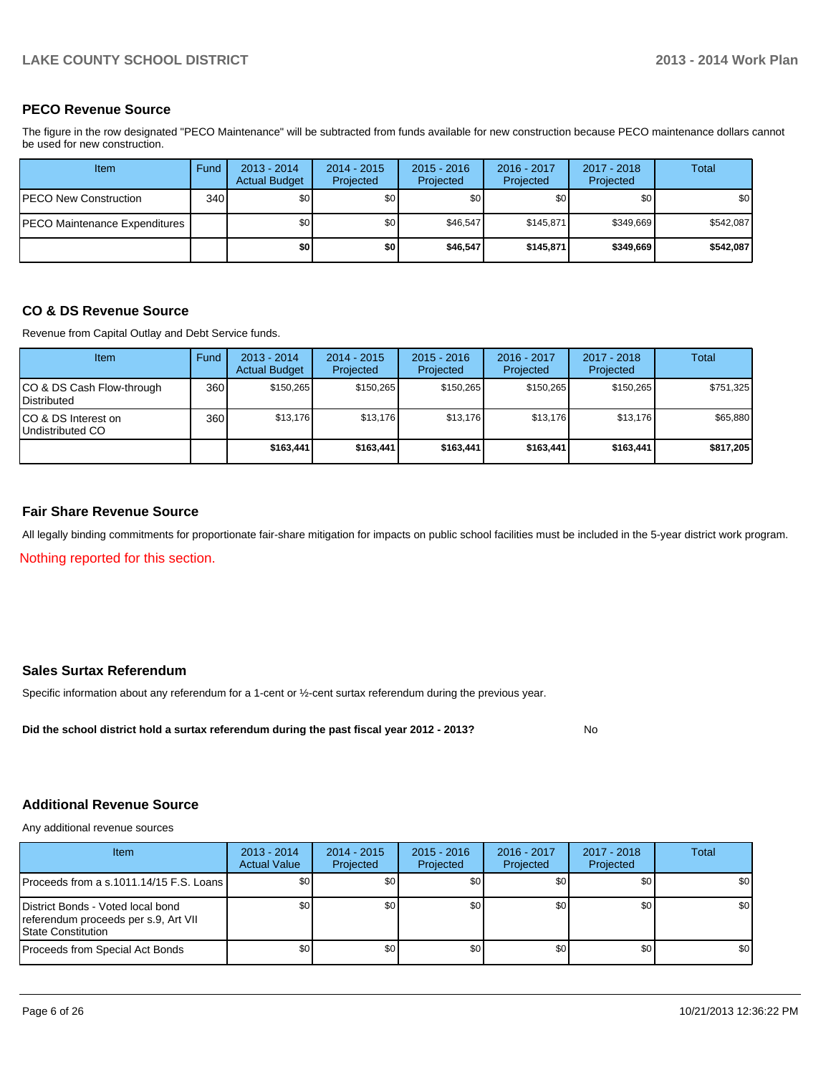#### **PECO Revenue Source**

The figure in the row designated "PECO Maintenance" will be subtracted from funds available for new construction because PECO maintenance dollars cannot be used for new construction.

| <b>Item</b>                           | Fund | $2013 - 2014$<br><b>Actual Budget</b> | $2014 - 2015$<br>Projected | $2015 - 2016$<br>Projected | 2016 - 2017<br>Projected | 2017 - 2018<br>Projected | Total     |
|---------------------------------------|------|---------------------------------------|----------------------------|----------------------------|--------------------------|--------------------------|-----------|
| <b>IPECO New Construction</b>         | 340  | \$0                                   | \$0 <sub>1</sub>           | \$0                        | \$0                      | \$0                      | \$0       |
| <b>IPECO Maintenance Expenditures</b> |      | \$0                                   | \$0                        | \$46.547                   | \$145.871                | \$349.669                | \$542.087 |
|                                       |      | \$0 I                                 | \$0                        | \$46,547                   | \$145.871                | \$349,669                | \$542,087 |

#### **CO & DS Revenue Source**

Revenue from Capital Outlay and Debt Service funds.

| Item                                            | Fund | $2013 - 2014$<br><b>Actual Budget</b> | $2014 - 2015$<br>Projected | $2015 - 2016$<br>Projected | $2016 - 2017$<br>Projected | $2017 - 2018$<br>Projected | Total     |
|-------------------------------------------------|------|---------------------------------------|----------------------------|----------------------------|----------------------------|----------------------------|-----------|
| CO & DS Cash Flow-through<br><b>Distributed</b> | 360  | \$150.265                             | \$150.265                  | \$150.265                  | \$150.265                  | \$150.265                  | \$751,325 |
| CO & DS Interest on<br>Undistributed CO         | 360  | \$13,176                              | \$13,176                   | \$13,176                   | \$13,176                   | \$13,176                   | \$65,880  |
|                                                 |      | \$163,441                             | \$163,441                  | \$163,441                  | \$163,441                  | \$163.441                  | \$817,205 |

#### **Fair Share Revenue Source**

Nothing reported for this section. All legally binding commitments for proportionate fair-share mitigation for impacts on public school facilities must be included in the 5-year district work program.

#### **Sales Surtax Referendum**

Specific information about any referendum for a 1-cent or ½-cent surtax referendum during the previous year.

**Did the school district hold a surtax referendum during the past fiscal year 2012 - 2013?**

# **Additional Revenue Source**

Any additional revenue sources

| Item                                                                                                    | $2013 - 2014$<br><b>Actual Value</b> | 2014 - 2015<br>Projected | $2015 - 2016$<br>Projected | 2016 - 2017<br>Projected | 2017 - 2018<br>Projected | Total |
|---------------------------------------------------------------------------------------------------------|--------------------------------------|--------------------------|----------------------------|--------------------------|--------------------------|-------|
| IProceeds from a s.1011.14/15 F.S. Loans I                                                              | \$0 <sub>1</sub>                     | \$0 <sub>1</sub>         | \$0                        | \$0                      | \$0 <sub>1</sub>         | \$0   |
| District Bonds - Voted local bond<br>referendum proceeds per s.9, Art VII<br><b>IState Constitution</b> | SO I                                 | \$0 <sub>1</sub>         | \$0                        | \$0                      | \$0                      | \$0   |
| Proceeds from Special Act Bonds                                                                         | \$0                                  | \$0 <sub>1</sub>         | \$0                        | \$0 <sub>1</sub>         | \$0                      | \$0   |

No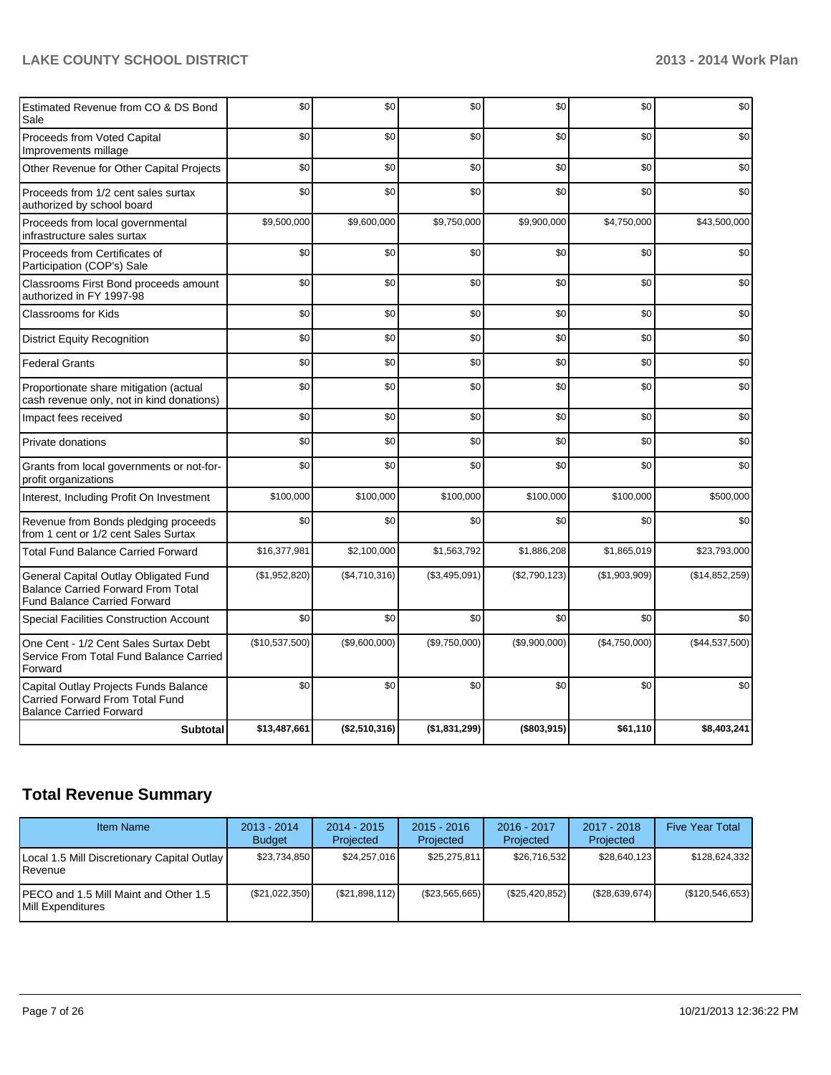### **LAKE COUNTY SCHOOL DISTRICT 2013 - 2014 Work Plan**

| Estimated Revenue from CO & DS Bond<br>Sale                                                                               | \$0            | \$0           | \$0           | \$0           | \$0           | \$0            |
|---------------------------------------------------------------------------------------------------------------------------|----------------|---------------|---------------|---------------|---------------|----------------|
| Proceeds from Voted Capital<br>Improvements millage                                                                       | \$0            | \$0           | \$0           | \$0           | \$0           | \$0            |
| Other Revenue for Other Capital Projects                                                                                  | \$0            | \$0           | \$0           | \$0           | \$0           | \$0            |
| Proceeds from 1/2 cent sales surtax<br>authorized by school board                                                         | \$0            | \$0           | \$0           | \$0           | \$0           | \$0            |
| Proceeds from local governmental<br>infrastructure sales surtax                                                           | \$9,500,000    | \$9,600,000   | \$9,750,000   | \$9,900,000   | \$4,750,000   | \$43,500,000   |
| Proceeds from Certificates of<br>Participation (COP's) Sale                                                               | \$0            | \$0           | \$0           | \$0           | \$0           | \$0            |
| Classrooms First Bond proceeds amount<br>authorized in FY 1997-98                                                         | \$0            | \$0           | \$0           | \$0           | \$0           | \$0            |
| <b>Classrooms for Kids</b>                                                                                                | \$0            | \$0           | \$0           | \$0           | \$0           | \$0            |
| <b>District Equity Recognition</b>                                                                                        | \$0            | \$0           | \$0           | \$0           | \$0           | \$0            |
| <b>Federal Grants</b>                                                                                                     | \$0            | \$0           | \$0           | \$0           | \$0           | \$0            |
| Proportionate share mitigation (actual<br>cash revenue only, not in kind donations)                                       | \$0            | \$0           | \$0           | \$0           | \$0           | \$0            |
| Impact fees received                                                                                                      | \$0            | \$0           | \$0           | \$0           | \$0           | \$0            |
| Private donations                                                                                                         | \$0            | \$0           | \$0           | \$0           | \$0           | \$0            |
| Grants from local governments or not-for-<br>profit organizations                                                         | \$0            | \$0           | \$0           | \$0           | \$0           | \$0            |
| Interest, Including Profit On Investment                                                                                  | \$100,000      | \$100,000     | \$100,000     | \$100,000     | \$100,000     | \$500,000      |
| Revenue from Bonds pledging proceeds<br>from 1 cent or 1/2 cent Sales Surtax                                              | \$0            | \$0           | \$0           | \$0           | \$0           | \$0            |
| <b>Total Fund Balance Carried Forward</b>                                                                                 | \$16,377,981   | \$2,100,000   | \$1,563,792   | \$1,886,208   | \$1,865,019   | \$23,793,000   |
| General Capital Outlay Obligated Fund<br><b>Balance Carried Forward From Total</b><br><b>Fund Balance Carried Forward</b> | (\$1,952,820)  | (\$4,710,316) | (\$3,495,091) | (\$2,790,123) | (\$1,903,909) | (\$14,852,259) |
| Special Facilities Construction Account                                                                                   | \$0            | \$0           | \$0           | \$0           | \$0           | \$0            |
| One Cent - 1/2 Cent Sales Surtax Debt<br>Service From Total Fund Balance Carried<br>Forward                               | (\$10,537,500) | (\$9,600,000) | (\$9,750,000) | (\$9,900,000) | (\$4,750,000) | (\$44,537,500) |
| Capital Outlay Projects Funds Balance<br>Carried Forward From Total Fund<br><b>Balance Carried Forward</b>                | \$0            | \$0           | \$0           | \$0           | \$0           | \$0            |
| <b>Subtotal</b>                                                                                                           | \$13,487,661   | (\$2,510,316) | (\$1,831,299) | (\$803,915)   | \$61,110      | \$8,403,241    |

# **Total Revenue Summary**

| <b>Item Name</b>                                                    | $2013 - 2014$<br><b>Budget</b> | $2014 - 2015$<br>Projected | $2015 - 2016$<br>Projected | $2016 - 2017$<br>Projected | $2017 - 2018$<br>Projected | <b>Five Year Total</b> |
|---------------------------------------------------------------------|--------------------------------|----------------------------|----------------------------|----------------------------|----------------------------|------------------------|
| Local 1.5 Mill Discretionary Capital Outlay<br><b>IRevenue</b>      | \$23.734.850                   | \$24,257,016               | \$25,275,811               | \$26.716.532               | \$28.640.123               | \$128,624,332          |
| IPECO and 1.5 Mill Maint and Other 1.5<br><b>IMill Expenditures</b> | (\$21,022,350)                 | (S21,898,112)              | (\$23,565,665)             | $(\$25,420,852)$           | (\$28,639,674)             | (\$120,546,653)        |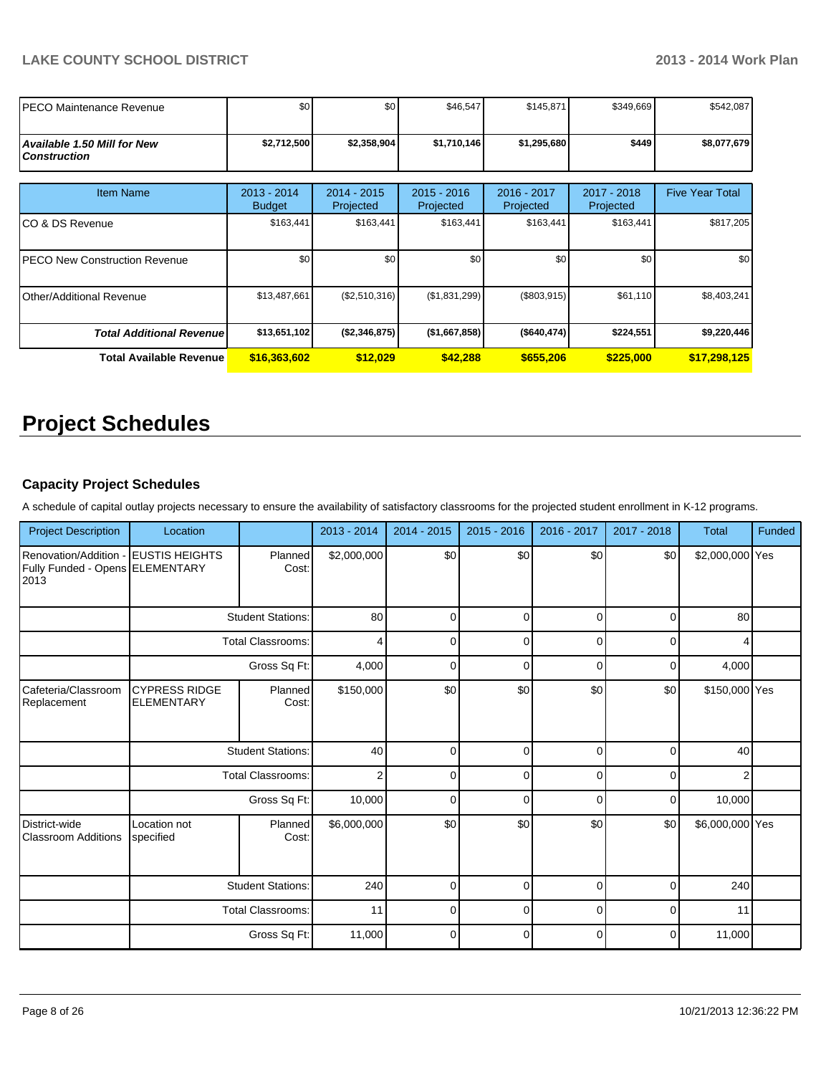| IPECO Maintenance Revenue                                 | \$0                          | \$0                        | \$46,547                   | \$145,871                | \$349,669                  | \$542,087              |
|-----------------------------------------------------------|------------------------------|----------------------------|----------------------------|--------------------------|----------------------------|------------------------|
| <b>Available 1.50 Mill for New</b><br><b>Construction</b> | \$2,712,500                  | \$2,358,904                | \$1,710,146                | \$1,295,680              | \$449                      | \$8,077,679            |
| <b>Item Name</b>                                          | 2013 - 2014<br><b>Budget</b> | $2014 - 2015$<br>Projected | $2015 - 2016$<br>Projected | 2016 - 2017<br>Projected | $2017 - 2018$<br>Projected | <b>Five Year Total</b> |
| ICO & DS Revenue                                          | \$163,441                    | \$163,441                  | \$163,441                  | \$163,441                | \$163,441                  | \$817,205              |
| IPECO New Construction Revenue                            | \$0                          | \$0                        | \$0                        | \$0                      | \$0                        | \$0                    |
| Other/Additional Revenue                                  | \$13,487,661                 | (\$2,510,316)              | (\$1,831,299)              | (\$803,915)              | \$61,110                   | \$8,403,241            |
| <b>Total Additional Revenuel</b>                          | \$13,651,102                 | ( \$2,346,875)             | (\$1,667,858)              | (\$640, 474)             | \$224,551                  | \$9,220,446            |
| <b>Total Available Revenue</b>                            | \$16,363,602                 | \$12,029                   | \$42,288                   | \$655,206                | \$225,000                  | \$17,298,125           |

# **Project Schedules**

#### **Capacity Project Schedules**

A schedule of capital outlay projects necessary to ensure the availability of satisfactory classrooms for the projected student enrollment in K-12 programs.

| <b>Project Description</b>                                       | Location                                             |                          | 2013 - 2014    | $2014 - 2015$ | $2015 - 2016$ | 2016 - 2017 | 2017 - 2018 | <b>Total</b>    | Funded |
|------------------------------------------------------------------|------------------------------------------------------|--------------------------|----------------|---------------|---------------|-------------|-------------|-----------------|--------|
| Renovation/Addition -<br>Fully Funded - Opens ELEMENTARY<br>2013 | <b>EUSTIS HEIGHTS</b>                                | Planned<br>Cost:         | \$2,000,000    | \$0           | \$0           | \$0         | \$0         | \$2,000,000 Yes |        |
|                                                                  |                                                      | <b>Student Stations:</b> | 80             | $\Omega$      | $\Omega$      | $\Omega$    | $\Omega$    | 80              |        |
|                                                                  |                                                      | <b>Total Classrooms:</b> | 4              | $\Omega$      | $\mathbf 0$   | $\Omega$    | $\Omega$    | 4               |        |
|                                                                  |                                                      | 4,000                    | $\Omega$       | 0             | 0             | $\Omega$    | 4,000       |                 |        |
| Cafeteria/Classroom<br>Replacement                               | <b>CYPRESS RIDGE</b><br><b>ELEMENTARY</b>            | Planned<br>Cost:         | \$150,000      | \$0           | \$0           | \$0         | \$0         | \$150,000 Yes   |        |
|                                                                  | <b>Student Stations:</b>                             |                          | 40             | $\Omega$      | $\mathbf 0$   | $\Omega$    | $\Omega$    | 40              |        |
|                                                                  |                                                      | <b>Total Classrooms:</b> | $\overline{2}$ | $\Omega$      | $\Omega$      | $\Omega$    | $\Omega$    | 2               |        |
|                                                                  |                                                      | Gross Sq Ft:             | 10,000         | $\Omega$      | $\Omega$      | $\Omega$    | $\Omega$    | 10,000          |        |
| District-wide<br><b>Classroom Additions</b>                      | Location not<br>specified                            | Planned<br>Cost:         | \$6,000,000    | \$0           | \$0           | \$0         | \$0         | \$6,000,000 Yes |        |
|                                                                  | <b>Student Stations:</b><br><b>Total Classrooms:</b> |                          | 240            | $\Omega$      | $\mathbf 0$   | $\Omega$    | $\mathbf 0$ | 240             |        |
|                                                                  |                                                      |                          | 11             | 0             | 0             | 0           | 0           | 11              |        |
|                                                                  |                                                      | Gross Sq Ft:             | 11,000         | $\Omega$      | $\mathbf 0$   | $\mathbf 0$ | $\Omega$    | 11,000          |        |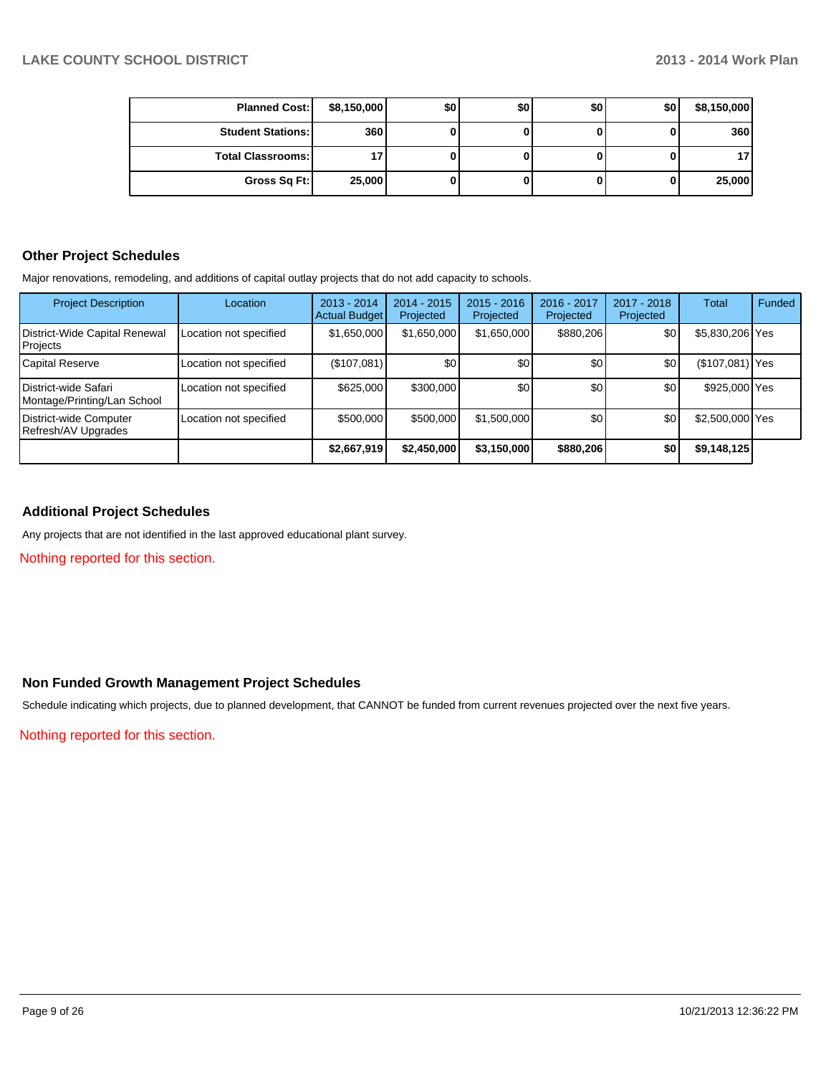| <b>Planned Cost:</b>     | \$8,150,000 | \$0 | \$0 | \$0 | \$0 | \$8,150,000 |
|--------------------------|-------------|-----|-----|-----|-----|-------------|
| <b>Student Stations:</b> | 360         |     |     |     |     | 360         |
| <b>Total Classrooms:</b> |             |     |     |     |     | 17          |
| Gross Sq Ft:             | 25,000      |     |     |     |     | 25,000      |

#### **Other Project Schedules**

Major renovations, remodeling, and additions of capital outlay projects that do not add capacity to schools.

| <b>Project Description</b>                                   | Location               | $2013 - 2014$<br><b>Actual Budget</b> | $2014 - 2015$<br>Projected | $2015 - 2016$<br>Projected | 2016 - 2017<br>Projected | $2017 - 2018$<br>Projected | Total           | Funded |
|--------------------------------------------------------------|------------------------|---------------------------------------|----------------------------|----------------------------|--------------------------|----------------------------|-----------------|--------|
| District-Wide Capital Renewal<br>Projects                    | Location not specified | \$1,650,000                           | \$1,650,000                | \$1,650,000                | \$880,206                | \$0                        | \$5,830,206 Yes |        |
| Capital Reserve                                              | Location not specified | (\$107,081)                           | \$0                        | \$0                        | \$0 <sub>1</sub>         | \$0                        | (\$107,081) Yes |        |
| <b>I</b> District-wide Safari<br>Montage/Printing/Lan School | Location not specified | \$625,000                             | \$300,000                  | \$0                        | \$0                      | \$0                        | \$925,000 Yes   |        |
| District-wide Computer<br>Refresh/AV Upgrades                | Location not specified | \$500,000                             | \$500,000                  | \$1,500,000                | \$0                      | \$0                        | \$2,500,000 Yes |        |
|                                                              |                        | \$2,667,919                           | \$2,450,000                | \$3,150,000                | \$880,206                | \$0                        | \$9,148,125     |        |

#### **Additional Project Schedules**

Any projects that are not identified in the last approved educational plant survey.

Nothing reported for this section.

#### **Non Funded Growth Management Project Schedules**

Schedule indicating which projects, due to planned development, that CANNOT be funded from current revenues projected over the next five years.

Nothing reported for this section.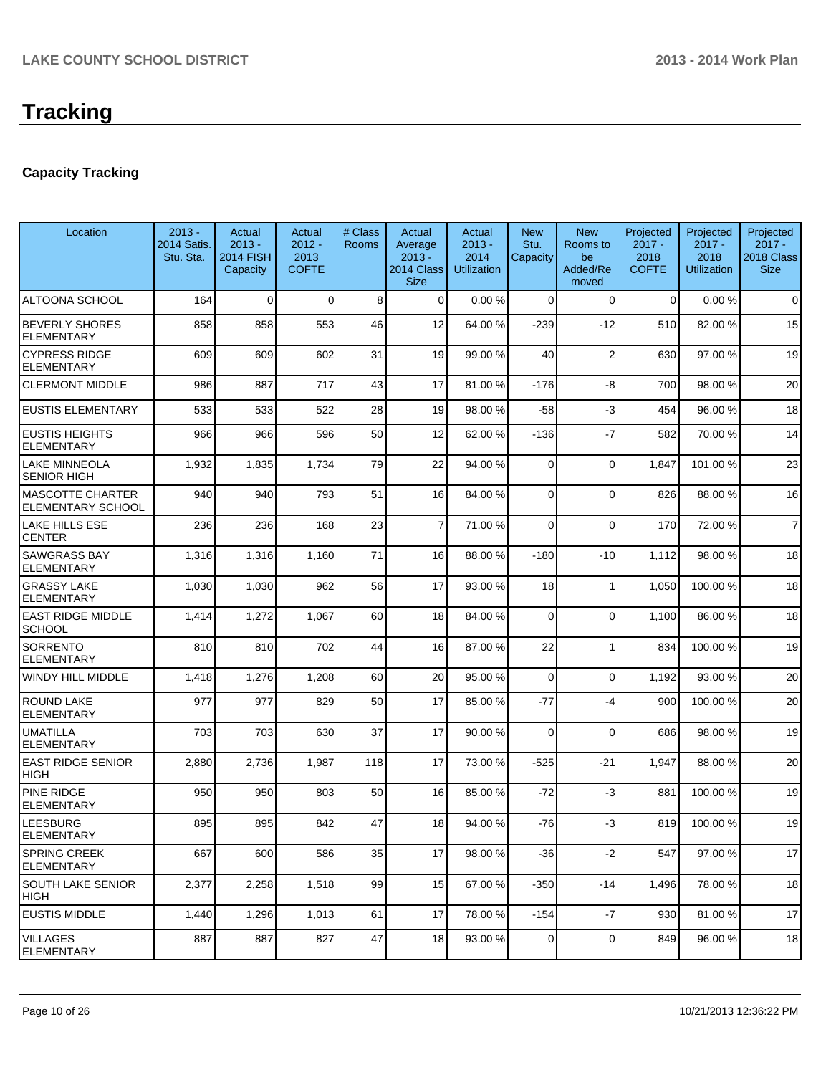### **Capacity Tracking**

| Location                                            | $2013 -$<br>2014 Satis.<br>Stu. Sta. | Actual<br>$2013 -$<br><b>2014 FISH</b><br>Capacity | Actual<br>$2012 -$<br>2013<br><b>COFTE</b> | # Class<br><b>Rooms</b> | Actual<br>Average<br>$2013 -$<br>2014 Class<br><b>Size</b> | Actual<br>$2013 -$<br>2014<br><b>Utilization</b> | <b>New</b><br>Stu.<br>Capacity | <b>New</b><br>Rooms to<br>be<br>Added/Re<br>moved | Projected<br>$2017 -$<br>2018<br><b>COFTE</b> | Projected<br>$2017 -$<br>2018<br><b>Utilization</b> | Projected<br>$2017 -$<br>2018 Class<br><b>Size</b> |
|-----------------------------------------------------|--------------------------------------|----------------------------------------------------|--------------------------------------------|-------------------------|------------------------------------------------------------|--------------------------------------------------|--------------------------------|---------------------------------------------------|-----------------------------------------------|-----------------------------------------------------|----------------------------------------------------|
| ALTOONA SCHOOL                                      | 164                                  | $\Omega$                                           | $\Omega$                                   | 8                       | $\Omega$                                                   | 0.00%                                            | $\Omega$                       | $\Omega$                                          | $\Omega$                                      | 0.00%                                               | $\mathbf 0$                                        |
| <b>BEVERLY SHORES</b><br><b>ELEMENTARY</b>          | 858                                  | 858                                                | 553                                        | 46                      | 12                                                         | 64.00 %                                          | $-239$                         | $-12$                                             | 510                                           | 82.00%                                              | 15                                                 |
| <b>CYPRESS RIDGE</b><br><b>ELEMENTARY</b>           | 609                                  | 609                                                | 602                                        | 31                      | 19                                                         | 99.00 %                                          | 40                             | $\overline{2}$                                    | 630                                           | 97.00 %                                             | 19                                                 |
| <b>CLERMONT MIDDLE</b>                              | 986                                  | 887                                                | 717                                        | 43                      | 17                                                         | 81.00 %                                          | $-176$                         | -8                                                | 700                                           | 98.00 %                                             | 20                                                 |
| <b>EUSTIS ELEMENTARY</b>                            | 533                                  | 533                                                | 522                                        | 28                      | 19                                                         | 98.00 %                                          | $-58$                          | $-3$                                              | 454                                           | 96.00%                                              | 18                                                 |
| <b>EUSTIS HEIGHTS</b><br><b>ELEMENTARY</b>          | 966                                  | 966                                                | 596                                        | 50                      | 12                                                         | 62.00 %                                          | $-136$                         | $-7$                                              | 582                                           | 70.00%                                              | 14                                                 |
| LAKE MINNEOLA<br>SENIOR HIGH                        | 1,932                                | 1,835                                              | 1,734                                      | 79                      | 22                                                         | 94.00 %                                          | 0                              | $\Omega$                                          | 1,847                                         | 101.00%                                             | 23                                                 |
| <b>MASCOTTE CHARTER</b><br><b>ELEMENTARY SCHOOL</b> | 940                                  | 940                                                | 793                                        | 51                      | 16                                                         | 84.00 %                                          | $\Omega$                       | $\Omega$                                          | 826                                           | 88.00%                                              | 16                                                 |
| LAKE HILLS ESE<br><b>CENTER</b>                     | 236                                  | 236                                                | 168                                        | 23                      | 7                                                          | 71.00 %                                          | 0                              | $\Omega$                                          | 170                                           | 72.00 %                                             | 7                                                  |
| <b>SAWGRASS BAY</b><br><b>ELEMENTARY</b>            | 1,316                                | 1,316                                              | 1,160                                      | 71                      | 16                                                         | 88.00 %                                          | $-180$                         | -10                                               | 1,112                                         | 98.00%                                              | 18                                                 |
| <b>GRASSY LAKE</b><br><b>ELEMENTARY</b>             | 1,030                                | 1,030                                              | 962                                        | 56                      | 17                                                         | 93.00 %                                          | 18                             | 1                                                 | 1,050                                         | 100.00%                                             | 18                                                 |
| <b>EAST RIDGE MIDDLE</b><br><b>SCHOOL</b>           | 1,414                                | 1,272                                              | 1,067                                      | 60                      | 18                                                         | 84.00 %                                          | 0                              | $\Omega$                                          | 1,100                                         | 86.00 %                                             | 18                                                 |
| <b>SORRENTO</b><br><b>ELEMENTARY</b>                | 810                                  | 810                                                | 702                                        | 44                      | 16                                                         | 87.00 %                                          | 22                             | 1                                                 | 834                                           | 100.00 %                                            | 19                                                 |
| WINDY HILL MIDDLE                                   | 1,418                                | 1,276                                              | 1,208                                      | 60                      | 20                                                         | 95.00 %                                          | 0                              | $\Omega$                                          | 1,192                                         | 93.00 %                                             | 20                                                 |
| <b>ROUND LAKE</b><br><b>ELEMENTARY</b>              | 977                                  | 977                                                | 829                                        | 50                      | 17                                                         | 85.00 %                                          | $-77$                          | $-4$                                              | 900                                           | 100.00%                                             | 20                                                 |
| <b>UMATILLA</b><br><b>ELEMENTARY</b>                | 703                                  | 703                                                | 630                                        | 37                      | 17                                                         | 90.00 %                                          | 0                              | $\Omega$                                          | 686                                           | 98.00 %                                             | 19                                                 |
| <b>EAST RIDGE SENIOR</b><br><b>HIGH</b>             | 2,880                                | 2,736                                              | 1,987                                      | 118                     | 17                                                         | 73.00 %                                          | $-525$                         | $-21$                                             | 1,947                                         | 88.00 %                                             | 20                                                 |
| PINE RIDGE<br>ELEMENTARY                            | 950                                  | 950                                                | 803                                        | 50                      | 16                                                         | 85.00 %                                          | $-72$                          | $-3$                                              | 881                                           | 100.00%                                             | 19                                                 |
| LEESBURG<br>ELEMENTARY                              | 895                                  | 895                                                | 842                                        | 47                      | 18                                                         | 94.00 %                                          | $-76$                          | $-3$                                              | 819                                           | 100.00%                                             | 19                                                 |
| <b>SPRING CREEK</b><br><b>ELEMENTARY</b>            | 667                                  | 600                                                | 586                                        | 35                      | 17                                                         | 98.00 %                                          | $-36$                          | $-2$                                              | 547                                           | 97.00 %                                             | 17                                                 |
| SOUTH LAKE SENIOR<br>HIGH                           | 2,377                                | 2,258                                              | 1,518                                      | 99                      | 15                                                         | 67.00 %                                          | $-350$                         | -14                                               | 1,496                                         | 78.00 %                                             | 18                                                 |
| <b>EUSTIS MIDDLE</b>                                | 1,440                                | 1,296                                              | 1,013                                      | 61                      | 17                                                         | 78.00 %                                          | $-154$                         | $-7$                                              | 930                                           | 81.00%                                              | 17                                                 |
| <b>VILLAGES</b><br><b>ELEMENTARY</b>                | 887                                  | 887                                                | 827                                        | 47                      | 18                                                         | 93.00 %                                          | 0                              | $\Omega$                                          | 849                                           | 96.00 %                                             | 18                                                 |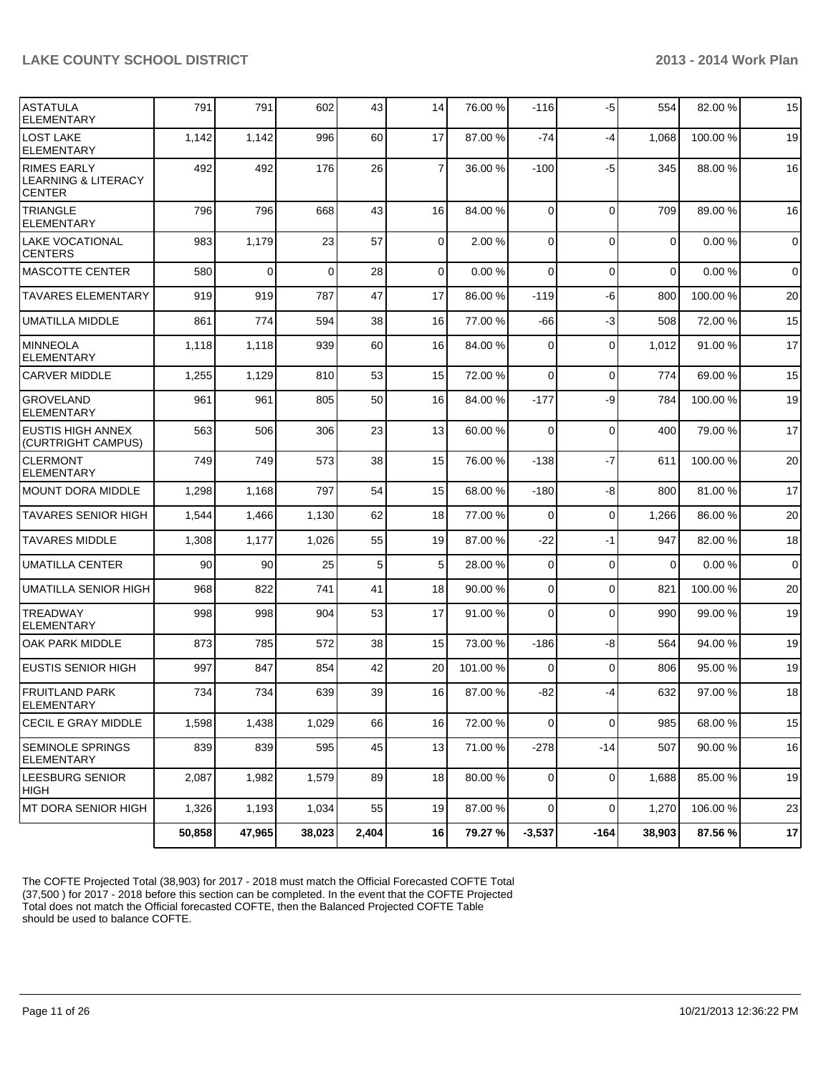| <b>ASTATULA</b><br><b>ELEMENTARY</b>                                  | 791    | 791      | 602      | 43    | 14             | 76.00 %  | $-116$         | -5             | 554            | 82.00%   | 15             |
|-----------------------------------------------------------------------|--------|----------|----------|-------|----------------|----------|----------------|----------------|----------------|----------|----------------|
| <b>LOST LAKE</b><br><b>ELEMENTARY</b>                                 | 1,142  | 1,142    | 996      | 60    | 17             | 87.00 %  | $-74$          | $-4$           | 1,068          | 100.00%  | 19             |
| <b>RIMES EARLY</b><br><b>LEARNING &amp; LITERACY</b><br><b>CENTER</b> | 492    | 492      | 176      | 26    | $\overline{7}$ | 36.00 %  | $-100$         | $-5$           | 345            | 88.00 %  | 16             |
| <b>TRIANGLE</b><br><b>ELEMENTARY</b>                                  | 796    | 796      | 668      | 43    | 16             | 84.00 %  | $\Omega$       | $\Omega$       | 709            | 89.00 %  | 16             |
| <b>LAKE VOCATIONAL</b><br><b>CENTERS</b>                              | 983    | 1,179    | 23       | 57    | $\overline{0}$ | 2.00 %   | $\overline{0}$ | $\Omega$       | $\overline{0}$ | 0.00%    | $\overline{0}$ |
| <b>MASCOTTE CENTER</b>                                                | 580    | $\Omega$ | $\Omega$ | 28    | $\Omega$       | 0.00%    | $\Omega$       | $\Omega$       | $\Omega$       | 0.00%    | $\overline{0}$ |
| <b>TAVARES ELEMENTARY</b>                                             | 919    | 919      | 787      | 47    | 17             | 86.00 %  | $-119$         | -6             | 800            | 100.00%  | 20             |
| <b>UMATILLA MIDDLE</b>                                                | 861    | 774      | 594      | 38    | 16             | 77.00 %  | $-66$          | $-3$           | 508            | 72.00 %  | 15             |
| <b>MINNEOLA</b><br><b>ELEMENTARY</b>                                  | 1,118  | 1,118    | 939      | 60    | 16             | 84.00 %  | $\Omega$       | $\mathbf 0$    | 1,012          | 91.00%   | 17             |
| <b>CARVER MIDDLE</b>                                                  | 1,255  | 1,129    | 810      | 53    | 15             | 72.00 %  | $\Omega$       | $\Omega$       | 774            | 69.00 %  | 15             |
| <b>GROVELAND</b><br><b>ELEMENTARY</b>                                 | 961    | 961      | 805      | 50    | 16             | 84.00 %  | $-177$         | -9             | 784            | 100.00%  | 19             |
| <b>EUSTIS HIGH ANNEX</b><br>(CURTRIGHT CAMPUS)                        | 563    | 506      | 306      | 23    | 13             | 60.00 %  | $\Omega$       | $\mathbf 0$    | 400            | 79.00 %  | 17             |
| <b>CLERMONT</b><br><b>ELEMENTARY</b>                                  | 749    | 749      | 573      | 38    | 15             | 76.00 %  | $-138$         | $-7$           | 611            | 100.00 % | 20             |
| <b>MOUNT DORA MIDDLE</b>                                              | 1,298  | 1,168    | 797      | 54    | 15             | 68.00 %  | $-180$         | -8             | 800            | 81.00%   | 17             |
| <b>TAVARES SENIOR HIGH</b>                                            | 1,544  | 1,466    | 1,130    | 62    | 18             | 77.00 %  | 0              | $\overline{0}$ | 1,266          | 86.00%   | 20             |
| <b>TAVARES MIDDLE</b>                                                 | 1,308  | 1,177    | 1,026    | 55    | 19             | 87.00 %  | $-22$          | -1             | 947            | 82.00%   | 18             |
| <b>UMATILLA CENTER</b>                                                | 90     | 90       | 25       | 5     | 5              | 28.00 %  | 0              | $\mathbf 0$    | $\Omega$       | 0.00%    | $\mathbf 0$    |
| UMATILLA SENIOR HIGH                                                  | 968    | 822      | 741      | 41    | 18             | 90.00 %  | 0              | $\mathbf 0$    | 821            | 100.00%  | 20             |
| <b>TREADWAY</b><br><b>ELEMENTARY</b>                                  | 998    | 998      | 904      | 53    | 17             | 91.00 %  | $\Omega$       | $\Omega$       | 990            | 99.00 %  | 19             |
| OAK PARK MIDDLE                                                       | 873    | 785      | 572      | 38    | 15             | 73.00 %  | $-186$         | -8             | 564            | 94.00%   | 19             |
| <b>EUSTIS SENIOR HIGH</b>                                             | 997    | 847      | 854      | 42    | 20             | 101.00 % | $\Omega$       | $\mathbf 0$    | 806            | 95.00 %  | 19             |
| FRUITLAND PARK<br><b>ELEMENTARY</b>                                   | 734    | 734      | 639      | 39    | 16             | 87.00 %  | -82            | $-4$           | 632            | 97.00 %  | 18             |
| <b>CECIL E GRAY MIDDLE</b>                                            | 1,598  | 1,438    | 1,029    | 66    | 16             | 72.00 %  | $\overline{0}$ | $\mathbf 0$    | 985            | 68.00%   | 15             |
| <b>SEMINOLE SPRINGS</b><br><b>ELEMENTARY</b>                          | 839    | 839      | 595      | 45    | 13             | 71.00 %  | $-278$         | $-14$          | 507            | 90.00 %  | 16             |
| LEESBURG SENIOR<br> HIGH                                              | 2,087  | 1,982    | 1,579    | 89    | 18             | 80.00 %  | $\overline{0}$ | $\mathbf 0$    | 1,688          | 85.00 %  | 19             |
| MT DORA SENIOR HIGH                                                   | 1,326  | 1,193    | 1,034    | 55    | 19             | 87.00 %  | $\overline{0}$ | $\Omega$       | 1,270          | 106.00%  | 23             |
|                                                                       | 50,858 | 47,965   | 38,023   | 2,404 | 16             | 79.27 %  | $-3,537$       | $-164$         | 38,903         | 87.56 %  | 17             |

The COFTE Projected Total (38,903) for 2017 - 2018 must match the Official Forecasted COFTE Total (37,500 ) for 2017 - 2018 before this section can be completed. In the event that the COFTE Projected Total does not match the Official forecasted COFTE, then the Balanced Projected COFTE Table should be used to balance COFTE.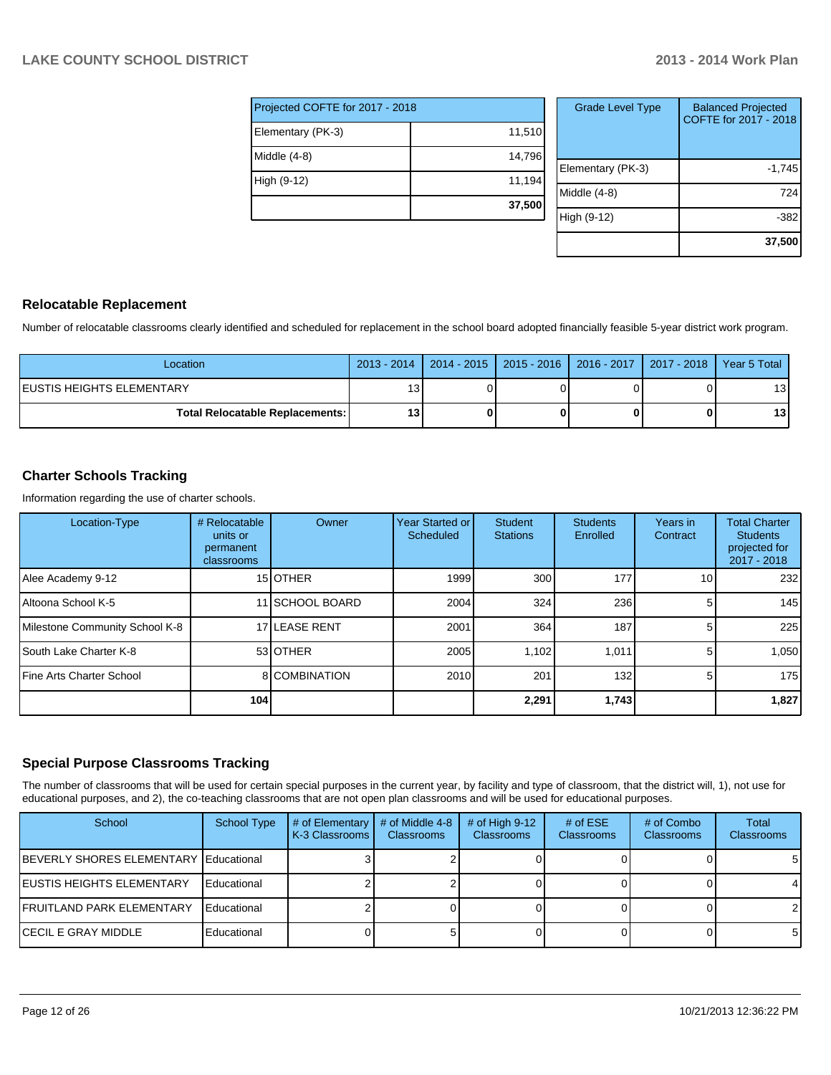| Projected COFTE for 2017 - 2018 |        |  |  |  |  |  |
|---------------------------------|--------|--|--|--|--|--|
| Elementary (PK-3)               | 11,510 |  |  |  |  |  |
| Middle (4-8)                    | 14,796 |  |  |  |  |  |
| High (9-12)                     | 11,194 |  |  |  |  |  |
|                                 | 37,500 |  |  |  |  |  |

| <b>Grade Level Type</b> | <b>Balanced Projected</b><br>COFTE for 2017 - 2018 |
|-------------------------|----------------------------------------------------|
| Elementary (PK-3)       | $-1,745$                                           |
| Middle (4-8)            | 724                                                |
| High (9-12)             | -382                                               |
|                         | 37,500                                             |

#### **Relocatable Replacement**

Number of relocatable classrooms clearly identified and scheduled for replacement in the school board adopted financially feasible 5-year district work program.

| Location                                 |                 | 2013 - 2014   2014 - 2015   2015 - 2016   2016 - 2017   2017 - 2018   Year 5 Total |  |                 |
|------------------------------------------|-----------------|------------------------------------------------------------------------------------|--|-----------------|
| IEUSTIS HEIGHTS ELEMENTARY               | 13 <sub>1</sub> |                                                                                    |  | 13 I            |
| <b>Total Relocatable Replacements: I</b> | 13              |                                                                                    |  | 13 <sup>1</sup> |

#### **Charter Schools Tracking**

Information regarding the use of charter schools.

| Location-Type                  | # Relocatable<br>units or<br>permanent<br>classrooms | Owner                | Year Started or<br><b>Scheduled</b> | <b>Student</b><br><b>Stations</b> | <b>Students</b><br>Enrolled | Years in<br>Contract | <b>Total Charter</b><br><b>Students</b><br>projected for<br>$2017 - 2018$ |
|--------------------------------|------------------------------------------------------|----------------------|-------------------------------------|-----------------------------------|-----------------------------|----------------------|---------------------------------------------------------------------------|
| Alee Academy 9-12              |                                                      | 15 <b>OTHER</b>      | 1999                                | 300                               | 177                         | 10 <sup>1</sup>      | 232                                                                       |
| Altoona School K-5             |                                                      | 11 SCHOOL BOARD      | 2004                                | 324                               | 236                         | 5                    | 145                                                                       |
| Milestone Community School K-8 |                                                      | 17 LEASE RENT        | 2001                                | 364                               | 187                         | 5                    | 225                                                                       |
| South Lake Charter K-8         |                                                      | 53 OTHER             | 2005                                | 1,102                             | 1,011                       | 5.                   | 1,050                                                                     |
| Fine Arts Charter School       |                                                      | <b>8</b> COMBINATION | 2010                                | 201                               | 132                         | 5                    | 175                                                                       |
|                                | 104                                                  |                      |                                     | 2,291                             | 1,743                       |                      | 1,827                                                                     |

#### **Special Purpose Classrooms Tracking**

The number of classrooms that will be used for certain special purposes in the current year, by facility and type of classroom, that the district will, 1), not use for educational purposes, and 2), the co-teaching classrooms that are not open plan classrooms and will be used for educational purposes.

| School                                | <b>School Type</b> | # of Elementary<br>K-3 Classrooms I | # of Middle 4-8<br><b>Classrooms</b> | $#$ of High 9-12<br><b>Classrooms</b> | # of $ESE$<br><b>Classrooms</b> | # of Combo<br><b>Classrooms</b> | <b>Total</b><br><b>Classrooms</b> |
|---------------------------------------|--------------------|-------------------------------------|--------------------------------------|---------------------------------------|---------------------------------|---------------------------------|-----------------------------------|
| BEVERLY SHORES ELEMENTARY Educational |                    |                                     |                                      |                                       |                                 |                                 | 5                                 |
| IEUSTIS HEIGHTS ELEMENTARY            | Educational        |                                     |                                      |                                       |                                 |                                 |                                   |
| <b>FRUITLAND PARK ELEMENTARY</b>      | Educational        |                                     |                                      |                                       |                                 |                                 | 21                                |
| ICECIL E GRAY MIDDLE                  | Educational        |                                     |                                      |                                       |                                 |                                 | 5                                 |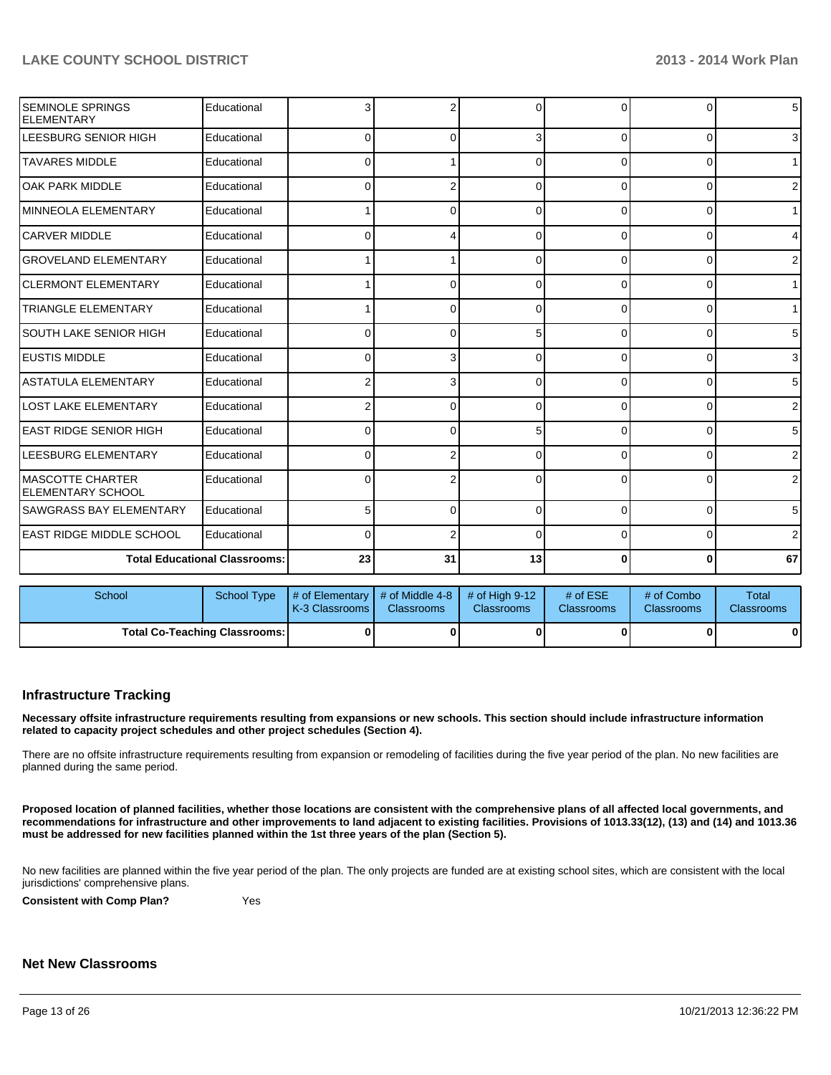| <b>SEMINOLE SPRINGS</b><br><b>ELEMENTARY</b> | Educational                          | 3                                       | 2        | $\Omega$         | $\Omega$ | $\Omega$       | 5 <sub>l</sub> |
|----------------------------------------------|--------------------------------------|-----------------------------------------|----------|------------------|----------|----------------|----------------|
| LEESBURG SENIOR HIGH                         | Educational                          | $\Omega$                                | $\Omega$ | 3                | $\Omega$ | $\Omega$       | 3 <sup>1</sup> |
| <b>TAVARES MIDDLE</b>                        | Educational                          | 0                                       |          | 0                | 0        | 0              | 1 <sup>1</sup> |
| OAK PARK MIDDLE                              | Educational                          | <sup>0</sup>                            | 2        | ∩                | U        | $\Omega$       | 2 <sub>1</sub> |
| <b>MINNEOLA ELEMENTARY</b>                   | Educational                          |                                         | 0        | 0                | $\Omega$ | $\overline{0}$ | 1 <sup>1</sup> |
| <b>CARVER MIDDLE</b>                         | Educational                          | 0                                       | 4        | 0                | 0        | 0              | $\overline{4}$ |
| <b>GROVELAND ELEMENTARY</b>                  | Educational                          |                                         |          | $\Omega$         | 0        | 0              | $\overline{2}$ |
| <b>CLERMONT ELEMENTARY</b>                   | Educational                          |                                         | 0        | 0                | $\Omega$ | 0              | 1 <sup>1</sup> |
| <b>TRIANGLE ELEMENTARY</b>                   | Educational                          |                                         | 0        | 0                | 0        | 0              | 1 <sup>1</sup> |
| <b>SOUTH LAKE SENIOR HIGH</b>                | Educational                          | <sup>0</sup>                            | 0        | 5                | $\Omega$ | 0              | 5 <sub>5</sub> |
| <b>EUSTIS MIDDLE</b>                         | Educational                          | 0                                       | 3        | $\Omega$         | $\Omega$ | $\Omega$       | 3 <sup>1</sup> |
| <b>ASTATULA ELEMENTARY</b>                   | Educational                          |                                         | 3        | $\Omega$         | 0        | $\Omega$       | 5 <sup>1</sup> |
| <b>LOST LAKE ELEMENTARY</b>                  | Educational                          |                                         | 0        | 0                | $\Omega$ | $\Omega$       | $\overline{2}$ |
| LEAST RIDGE SENIOR HIGH                      | Educational                          | 0                                       | 0        | 5                | 0        | 0              | 5 <sub>5</sub> |
| LEESBURG ELEMENTARY                          | Educational                          | <sup>0</sup>                            | 2        | ∩                | 0        | $\Omega$       | $\overline{2}$ |
| IMASCOTTE CHARTER<br>IELEMENTARY SCHOOL      | Educational                          | <sup>0</sup>                            | 2        | $\Omega$         | 0        | $\Omega$       | 2 <sub>1</sub> |
| <b>SAWGRASS BAY ELEMENTARY</b>               | Educational                          | 5                                       | $\Omega$ | 0                | 0        | 0              | 5 <sub>l</sub> |
| <b>LEAST RIDGE MIDDLE SCHOOL</b>             | Educational                          | $\Omega$                                | 2        | $\Omega$         | $\Omega$ | $\Omega$       | 2              |
|                                              | <b>Total Educational Classrooms:</b> | 23                                      | 31       | 13               | 0        | $\mathbf{0}$   | 67             |
| School                                       | <b>School Type</b>                   | # of Elementary $\vert$ # of Middle 4-8 |          | $#$ of High 9-12 | # of ESE | # of Combo     | <b>Total</b>   |

| School |                               | School Type $\parallel \#$ of Elementary $\parallel \#$ of Middle 4-8 $\parallel \#$ of High 9-12 $\parallel$<br><b>IK-3 Classrooms I</b> | <b>Classrooms</b> | <b>Classrooms</b> | # of $ESE$<br><b>Classrooms</b> | # of Combo<br><b>Classrooms</b> | Total<br><b>Classrooms</b> |
|--------|-------------------------------|-------------------------------------------------------------------------------------------------------------------------------------------|-------------------|-------------------|---------------------------------|---------------------------------|----------------------------|
|        | Total Co-Teaching Classrooms: |                                                                                                                                           |                   |                   |                                 |                                 |                            |

#### **Infrastructure Tracking**

**Necessary offsite infrastructure requirements resulting from expansions or new schools. This section should include infrastructure information related to capacity project schedules and other project schedules (Section 4).**

There are no offsite infrastructure requirements resulting from expansion or remodeling of facilities during the five year period of the plan. No new facilities are planned during the same period.

**Proposed location of planned facilities, whether those locations are consistent with the comprehensive plans of all affected local governments, and recommendations for infrastructure and other improvements to land adjacent to existing facilities. Provisions of 1013.33(12), (13) and (14) and 1013.36 must be addressed for new facilities planned within the 1st three years of the plan (Section 5).**

No new facilities are planned within the five year period of the plan. The only projects are funded are at existing school sites, which are consistent with the local jurisdictions' comprehensive plans.

**Consistent with Comp Plan?** Yes

#### **Net New Classrooms**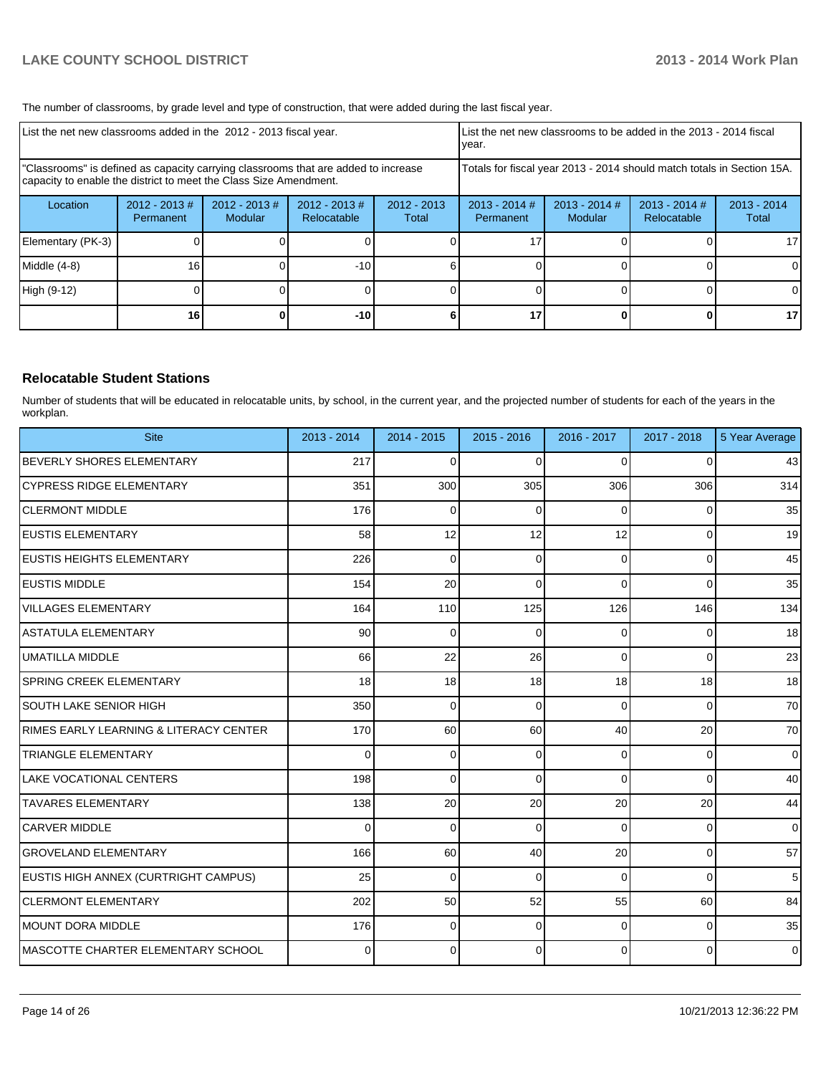The number of classrooms, by grade level and type of construction, that were added during the last fiscal year.

| List the net new classrooms added in the 2012 - 2013 fiscal year.                                                                                       |                               |                            |                                | Ivear.                 |                              | List the net new classrooms to be added in the 2013 - 2014 fiscal      |                                |                        |
|---------------------------------------------------------------------------------------------------------------------------------------------------------|-------------------------------|----------------------------|--------------------------------|------------------------|------------------------------|------------------------------------------------------------------------|--------------------------------|------------------------|
| "Classrooms" is defined as capacity carrying classrooms that are added to increase<br>capacity to enable the district to meet the Class Size Amendment. |                               |                            |                                |                        |                              | Totals for fiscal year 2013 - 2014 should match totals in Section 15A. |                                |                        |
| Location                                                                                                                                                | $2012 - 2013 \#$<br>Permanent | $2012 - 2013$ #<br>Modular | $2012 - 2013$ #<br>Relocatable | $2012 - 2013$<br>Total | $2013 - 2014$ #<br>Permanent | $2013 - 2014$ #<br><b>Modular</b>                                      | $2013 - 2014$ #<br>Relocatable | $2013 - 2014$<br>Total |
| Elementary (PK-3)                                                                                                                                       |                               |                            |                                |                        |                              |                                                                        |                                | 17 <sup>1</sup>        |
| Middle (4-8)                                                                                                                                            | 16                            |                            | -101                           |                        |                              |                                                                        |                                | $\Omega$               |
| High (9-12)                                                                                                                                             |                               |                            |                                |                        |                              |                                                                        |                                | $\Omega$               |
|                                                                                                                                                         | 16 <sub>1</sub>               |                            | $-10$                          |                        | 17                           |                                                                        |                                | 17 <sup>1</sup>        |

#### **Relocatable Student Stations**

Number of students that will be educated in relocatable units, by school, in the current year, and the projected number of students for each of the years in the workplan.

| <b>Site</b>                            | $2013 - 2014$ | $2014 - 2015$ | $2015 - 2016$ | 2016 - 2017 | 2017 - 2018 | 5 Year Average |
|----------------------------------------|---------------|---------------|---------------|-------------|-------------|----------------|
| BEVERLY SHORES ELEMENTARY              | 217           | $\Omega$      | $\Omega$      | $\Omega$    | $\Omega$    | 43             |
| CYPRESS RIDGE ELEMENTARY               | 351           | 300           | 305           | 306         | 306         | 314            |
| <b>CLERMONT MIDDLE</b>                 | 176           | $\Omega$      | $\Omega$      | $\Omega$    | 0           | 35             |
| <b>EUSTIS ELEMENTARY</b>               | 58            | 12            | 12            | 12          | $\Omega$    | 19             |
| <b>IEUSTIS HEIGHTS ELEMENTARY</b>      | 226           | $\Omega$      | $\Omega$      | $\Omega$    | $\Omega$    | 45             |
| IEUSTIS MIDDLE                         | 154           | 20            | $\Omega$      | $\Omega$    | $\Omega$    | 35             |
| VILLAGES ELEMENTARY                    | 164           | 110           | 125           | 126         | 146         | 134            |
| ASTATULA ELEMENTARY                    | 90            | $\Omega$      | $\Omega$      | $\Omega$    | 0           | 18             |
| UMATILLA MIDDLE                        | 66            | 22            | 26            | $\Omega$    | $\Omega$    | 23             |
| ISPRING CREEK ELEMENTARY               | 18            | 18            | 18            | 18          | 18          | 18             |
| SOUTH LAKE SENIOR HIGH                 | 350           | 0             | $\Omega$      | $\Omega$    | 0           | 70             |
| RIMES EARLY LEARNING & LITERACY CENTER | 170           | 60            | 60            | 40          | 20          | 70             |
| <b>TRIANGLE ELEMENTARY</b>             | ∩             | $\Omega$      | 0             | $\Omega$    | 0           | $\overline{0}$ |
| LAKE VOCATIONAL CENTERS                | 198           | $\Omega$      | $\Omega$      | $\Omega$    | $\Omega$    | 40             |
| <b>TAVARES ELEMENTARY</b>              | 138           | 20            | 20            | 20          | 20          | 44             |
| <b>CARVER MIDDLE</b>                   | 0             | 0             | 0             | $\Omega$    | 0           | $\overline{0}$ |
| lgroveland elementary                  | 166           | 60            | 40            | 20          | $\Omega$    | 57             |
| EUSTIS HIGH ANNEX (CURTRIGHT CAMPUS)   | 25            | 0             | $\Omega$      | $\Omega$    | $\Omega$    | 5 <sub>5</sub> |
| <b>ICLERMONT ELEMENTARY</b>            | 202           | 50            | 52            | 55          | 60          | 84             |
| MOUNT DORA MIDDLE                      | 176           | $\Omega$      | 0             | $\Omega$    | 0           | 35             |
| IMASCOTTE CHARTER ELEMENTARY SCHOOL    | 0             | 0             | $\Omega$      | $\Omega$    | $\Omega$    | $\overline{0}$ |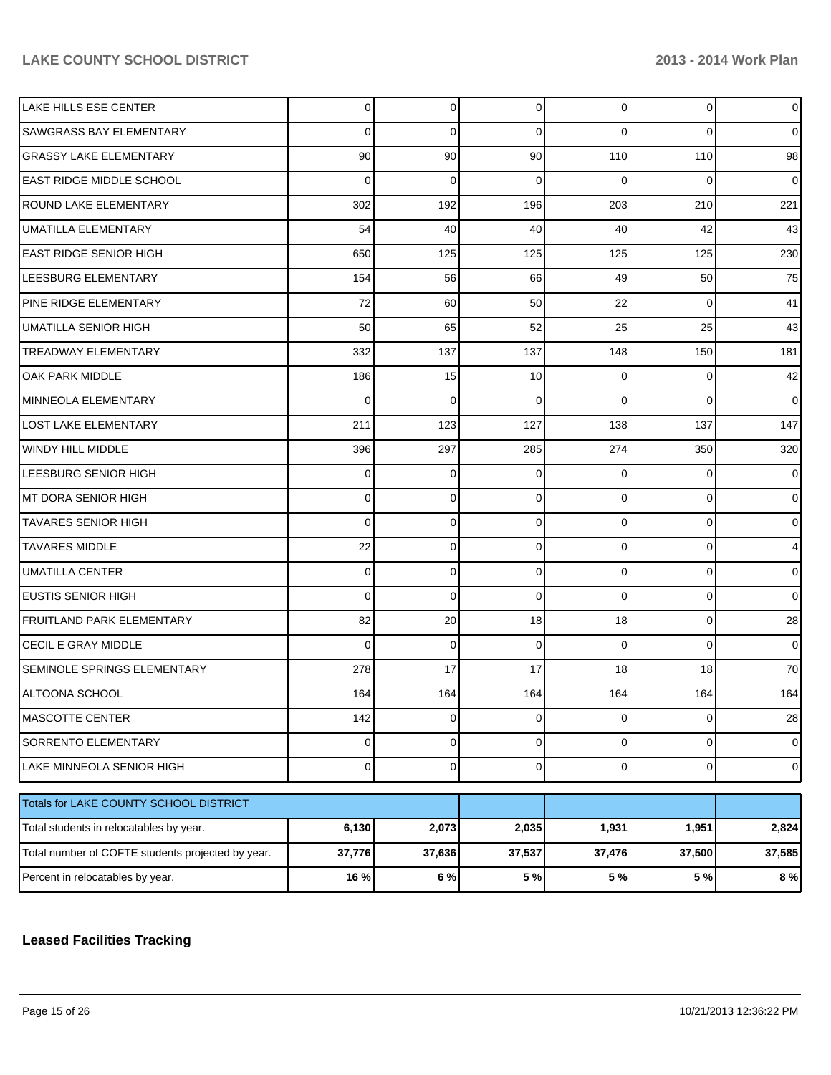| LAKE HILLS ESE CENTER                             | $\overline{0}$ | 0               | $\overline{0}$ | $\overline{0}$ | 0        | $\overline{0}$ |
|---------------------------------------------------|----------------|-----------------|----------------|----------------|----------|----------------|
| <b>SAWGRASS BAY ELEMENTARY</b>                    | $\mathbf 0$    | 0               | 0              | $\Omega$       | 0        | $\overline{0}$ |
| GRASSY LAKE ELEMENTARY                            | 90             | 90 <sub>0</sub> | 90             | 110            | 110      | 98             |
| EAST RIDGE MIDDLE SCHOOL                          | $\Omega$       | 0               | 0              | $\Omega$       | 0        | $\overline{0}$ |
| <b>ROUND LAKE ELEMENTARY</b>                      | 302            | 192             | 196            | 203            | 210      | 221            |
| <b>UMATILLA ELEMENTARY</b>                        | 54             | 40              | 40             | 40             | 42       | 43             |
| <b>EAST RIDGE SENIOR HIGH</b>                     | 650            | 125             | 125            | 125            | 125      | 230            |
| LEESBURG ELEMENTARY                               | 154            | 56              | 66             | 49             | 50       | 75             |
| <b>PINE RIDGE ELEMENTARY</b>                      | 72             | 60              | 50             | 22             | 0        | 41             |
| UMATILLA SENIOR HIGH                              | 50             | 65              | 52             | 25             | 25       | 43             |
| TREADWAY ELEMENTARY                               | 332            | 137             | 137            | 148            | 150      | 181            |
| OAK PARK MIDDLE                                   | 186            | 15              | 10             | 0              | 0        | 42             |
| MINNEOLA ELEMENTARY                               | 0              | 0               | 0              | $\Omega$       | $\Omega$ | $\overline{0}$ |
| LOST LAKE ELEMENTARY                              | 211            | 123             | 127            | 138            | 137      | 147            |
| WINDY HILL MIDDLE                                 | 396            | 297             | 285            | 274            | 350      | 320            |
| LEESBURG SENIOR HIGH                              | 0              | 0               | 0              | $\Omega$       | 0        | $\overline{0}$ |
| MT DORA SENIOR HIGH                               | 0              | 0               | 0              | $\overline{0}$ | 0        | $\overline{0}$ |
| TAVARES SENIOR HIGH                               | $\Omega$       | 0               | 0              | $\mathbf 0$    | 0        | $\overline{0}$ |
| <b>TAVARES MIDDLE</b>                             | 22             | 0               | 0              | $\mathbf 0$    | 0        | $\overline{4}$ |
| UMATILLA CENTER                                   | 0              | 0               | 0              | 0              | 0        | $\overline{0}$ |
| EUSTIS SENIOR HIGH                                | $\Omega$       | 0               | 0              | $\mathbf 0$    | 0        | $\overline{0}$ |
| FRUITLAND PARK ELEMENTARY                         | 82             | 20 <sub>1</sub> | 18             | 18             | 0        | 28             |
| <b>CECIL E GRAY MIDDLE</b>                        | 0              | 0               | 0              | $\Omega$       | 0        | $\overline{0}$ |
| SEMINOLE SPRINGS ELEMENTARY                       | 278            | 17              | 17             | 18             | 18       | 70             |
| ALTOONA SCHOOL                                    | 164            | 164             | 164            | 164            | 164      | 164            |
| MASCOTTE CENTER                                   | 142            | $\overline{0}$  | $\overline{0}$ | $\overline{0}$ | 0        | 28             |
| SORRENTO ELEMENTARY                               | $\mathbf 0$    | $\overline{0}$  | 0              | $\overline{0}$ | 0        | $\overline{0}$ |
| LAKE MINNEOLA SENIOR HIGH                         | $\mathbf 0$    | $\mathbf 0$     | 0              | $\overline{0}$ | 0        | $\overline{0}$ |
| Totals for LAKE COUNTY SCHOOL DISTRICT            |                |                 |                |                |          |                |
| Total students in relocatables by year.           | 6,130          | 2,073           | 2,035          | 1,931          | 1,951    | 2,824          |
| Total number of COFTE students projected by year. | 37,776         | 37,636          | 37,537         | 37,476         | 37,500   | 37,585         |
| Percent in relocatables by year.                  | 16 %           | 6 %             | 5 %            | 5 %            | $5%$     | $8\ \%$        |

#### **Leased Facilities Tracking**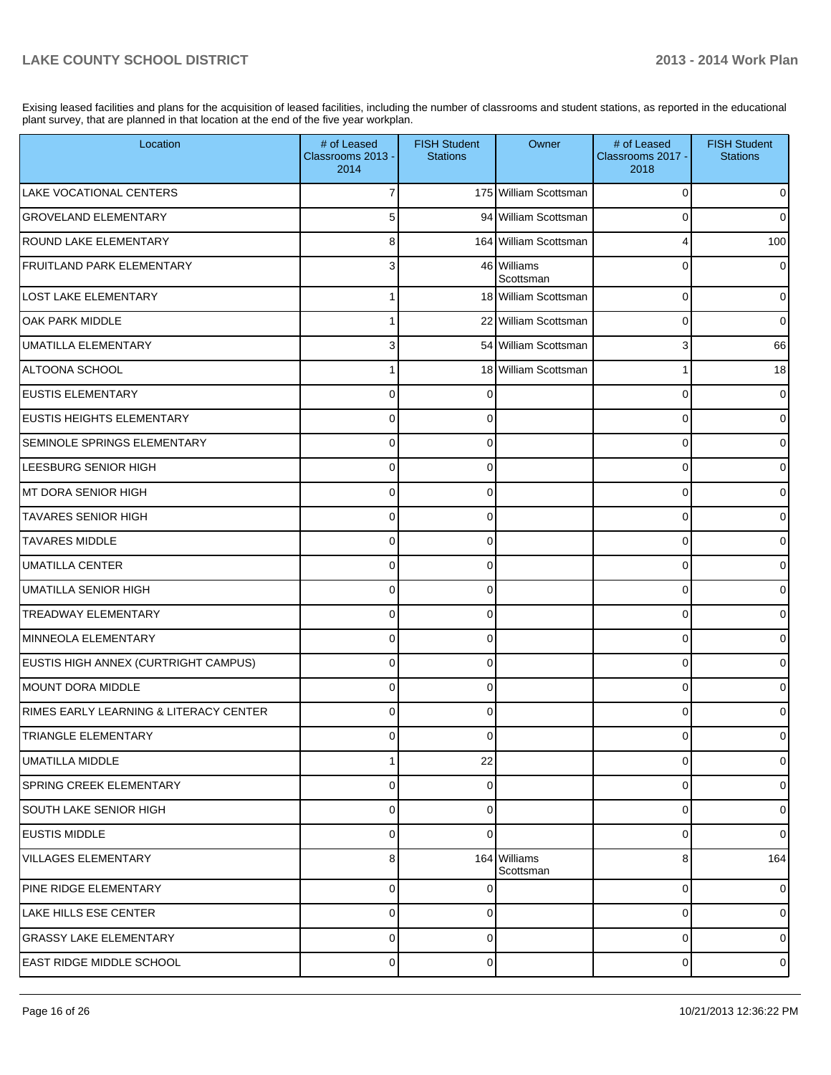Exising leased facilities and plans for the acquisition of leased facilities, including the number of classrooms and student stations, as reported in the educational plant survey, that are planned in that location at the end of the five year workplan.

| Location                               | # of Leased<br>Classrooms 2013 -<br>2014 | <b>FISH Student</b><br><b>Stations</b> | Owner                     | # of Leased<br>Classrooms 2017 -<br>2018 | <b>FISH Student</b><br><b>Stations</b> |
|----------------------------------------|------------------------------------------|----------------------------------------|---------------------------|------------------------------------------|----------------------------------------|
| <b>LAKE VOCATIONAL CENTERS</b>         |                                          |                                        | 175 William Scottsman     | 0                                        | 0                                      |
| <b>GROVELAND ELEMENTARY</b>            | 5                                        |                                        | 94 William Scottsman      | $\Omega$                                 | 0                                      |
| <b>ROUND LAKE ELEMENTARY</b>           | 8                                        |                                        | 164 William Scottsman     | 4                                        | 100                                    |
| <b>FRUITLAND PARK ELEMENTARY</b>       | 3                                        |                                        | 46 Williams<br>Scottsman  | $\Omega$                                 | 0                                      |
| <b>LOST LAKE ELEMENTARY</b>            |                                          |                                        | 18 William Scottsman      | 0                                        | $\overline{0}$                         |
| <b>OAK PARK MIDDLE</b>                 |                                          |                                        | 22 William Scottsman      | 0                                        | 0                                      |
| <b>UMATILLA ELEMENTARY</b>             | 3                                        |                                        | 54 William Scottsman      | 3                                        | 66                                     |
| ALTOONA SCHOOL                         |                                          |                                        | 18 William Scottsman      |                                          | 18                                     |
| <b>EUSTIS ELEMENTARY</b>               | $\Omega$                                 | $\Omega$                               |                           | $\Omega$                                 | 0                                      |
| <b>EUSTIS HEIGHTS ELEMENTARY</b>       | $\Omega$                                 | $\Omega$                               |                           | $\Omega$                                 | 0                                      |
| SEMINOLE SPRINGS ELEMENTARY            | $\Omega$                                 | $\Omega$                               |                           | $\Omega$                                 | 0                                      |
| LEESBURG SENIOR HIGH                   | $\Omega$                                 | $\Omega$                               |                           | $\Omega$                                 | 0                                      |
| IMT DORA SENIOR HIGH                   | $\Omega$                                 | $\Omega$                               |                           | $\Omega$                                 | 0                                      |
| <b>TAVARES SENIOR HIGH</b>             | $\Omega$                                 | $\Omega$                               |                           | $\Omega$                                 | 0                                      |
| <b>TAVARES MIDDLE</b>                  | $\Omega$                                 | $\Omega$                               |                           | $\Omega$                                 | 0                                      |
| <b>UMATILLA CENTER</b>                 | $\Omega$                                 | $\Omega$                               |                           | $\Omega$                                 | 0                                      |
| <b>UMATILLA SENIOR HIGH</b>            | $\Omega$                                 | $\Omega$                               |                           | $\Omega$                                 | 0                                      |
| <b>TREADWAY ELEMENTARY</b>             | $\Omega$                                 | $\Omega$                               |                           | $\Omega$                                 | 0                                      |
| MINNEOLA ELEMENTARY                    | $\Omega$                                 | $\Omega$                               |                           | $\Omega$                                 | 0                                      |
| EUSTIS HIGH ANNEX (CURTRIGHT CAMPUS)   | $\Omega$                                 | $\Omega$                               |                           | $\Omega$                                 | 0                                      |
| MOUNT DORA MIDDLE                      | $\Omega$                                 | $\Omega$                               |                           | $\Omega$                                 | 0                                      |
| RIMES EARLY LEARNING & LITERACY CENTER | 0                                        | $\Omega$                               |                           | $\Omega$                                 | 0                                      |
| TRIANGLE ELEMENTARY                    |                                          |                                        |                           |                                          |                                        |
| <b>UMATILLA MIDDLE</b>                 |                                          | 22                                     |                           | $\Omega$                                 | 0                                      |
| SPRING CREEK ELEMENTARY                | $\mathbf 0$                              | $\Omega$                               |                           | 0                                        | $\overline{0}$                         |
| <b>SOUTH LAKE SENIOR HIGH</b>          | $\mathbf 0$                              | $\mathbf 0$                            |                           | 0                                        | $\overline{0}$                         |
| <b>IEUSTIS MIDDLE</b>                  | $\mathbf 0$                              | $\Omega$                               |                           | 0                                        | $\Omega$                               |
| VILLAGES ELEMENTARY                    | 8                                        |                                        | 164 Williams<br>Scottsman | 8                                        | 164                                    |
| PINE RIDGE ELEMENTARY                  | $\mathbf 0$                              | $\Omega$                               |                           | 0                                        | $\overline{0}$                         |
| <b>LAKE HILLS ESE CENTER</b>           | $\mathbf 0$                              | $\Omega$                               |                           | 0                                        | $\overline{0}$                         |
| <b>GRASSY LAKE ELEMENTARY</b>          | $\mathbf 0$                              | 0                                      |                           | 0                                        | $\overline{0}$                         |
| <b>EAST RIDGE MIDDLE SCHOOL</b>        | $\mathbf 0$                              | 0                                      |                           | 0                                        | $\circ$                                |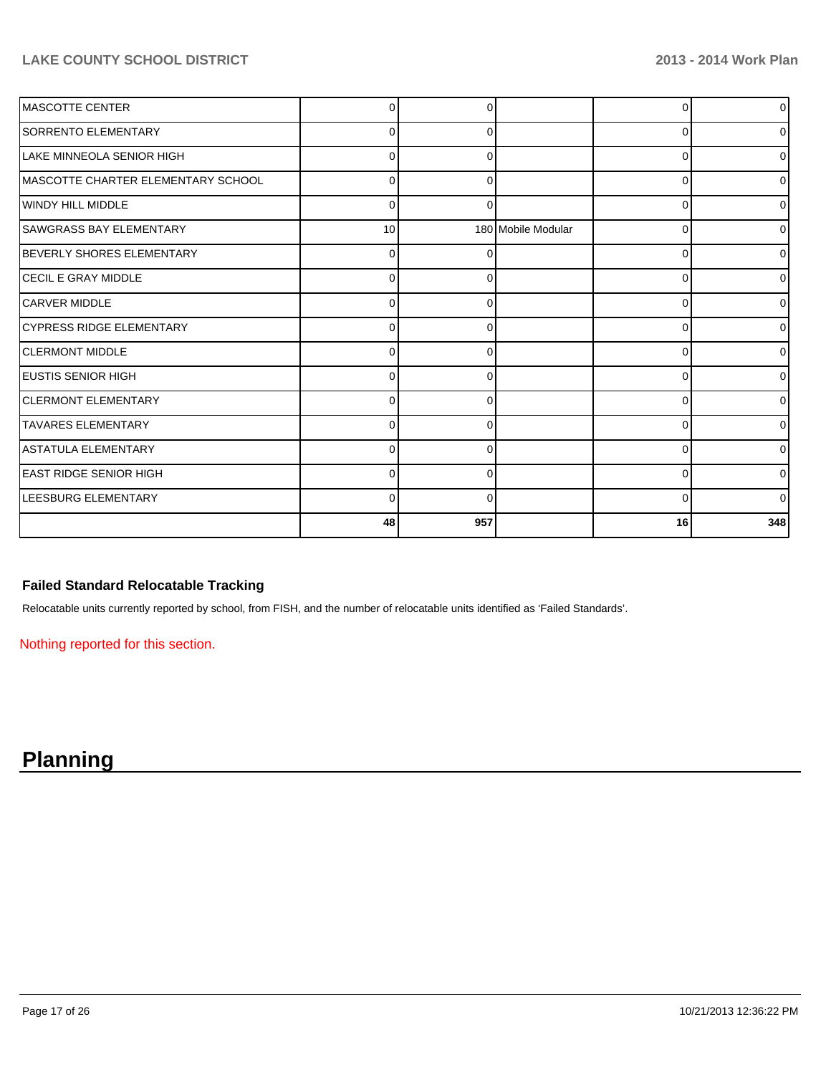#### **LAKE COUNTY SCHOOL DISTRICT 2013 - 2014 Work Plan**

| <b>MASCOTTE CENTER</b>              |                 |          |                    | 0        | $\overline{0}$ |
|-------------------------------------|-----------------|----------|--------------------|----------|----------------|
| <b>SORRENTO ELEMENTARY</b>          | 0               | 0        |                    | 0        | 0              |
| LLAKE MINNEOLA SENIOR HIGH          | $\Omega$        | 0        |                    | $\Omega$ | 0              |
| IMASCOTTE CHARTER ELEMENTARY SCHOOL | $\Omega$        | 0        |                    | 0        | $\overline{0}$ |
| WINDY HILL MIDDLE                   | $\Omega$        | 0        |                    | 0        | $\overline{0}$ |
| SAWGRASS BAY ELEMENTARY             | 10 <sup>1</sup> |          | 180 Mobile Modular | 0        | $\overline{0}$ |
| BEVERLY SHORES ELEMENTARY           | $\Omega$        |          |                    | $\Omega$ | $\overline{0}$ |
| <b>ICECIL E GRAY MIDDLE</b>         | 0               | O        |                    | $\Omega$ | $\overline{0}$ |
| <b>ICARVER MIDDLE</b>               | $\Omega$        | $\Omega$ |                    | $\Omega$ | $\overline{0}$ |
| CYPRESS RIDGE ELEMENTARY            | $\Omega$        |          |                    | 0        | $\overline{0}$ |
| <b>CLERMONT MIDDLE</b>              | U               |          |                    | 0        | $\overline{0}$ |
| <b>IEUSTIS SENIOR HIGH</b>          | 0               |          |                    | 0        | $\overline{0}$ |
| <b>ICLERMONT ELEMENTARY</b>         | ŋ               |          |                    | 0        | $\overline{0}$ |
| <b>ITAVARES ELEMENTARY</b>          | U               |          |                    | $\Omega$ | $\overline{0}$ |
| ASTATULA ELEMENTARY                 | 0               | 0        |                    | $\Omega$ | $\overline{0}$ |
| LEAST RIDGE SENIOR HIGH             | 0               | 0        |                    | 0        | $\overline{0}$ |
| <b>LEESBURG ELEMENTARY</b>          | $\Omega$        | 0        |                    | 0        | $\overline{0}$ |
|                                     | 48              | 957      |                    | 16       | 348            |

#### **Failed Standard Relocatable Tracking**

Relocatable units currently reported by school, from FISH, and the number of relocatable units identified as 'Failed Standards'.

Nothing reported for this section.

# **Planning**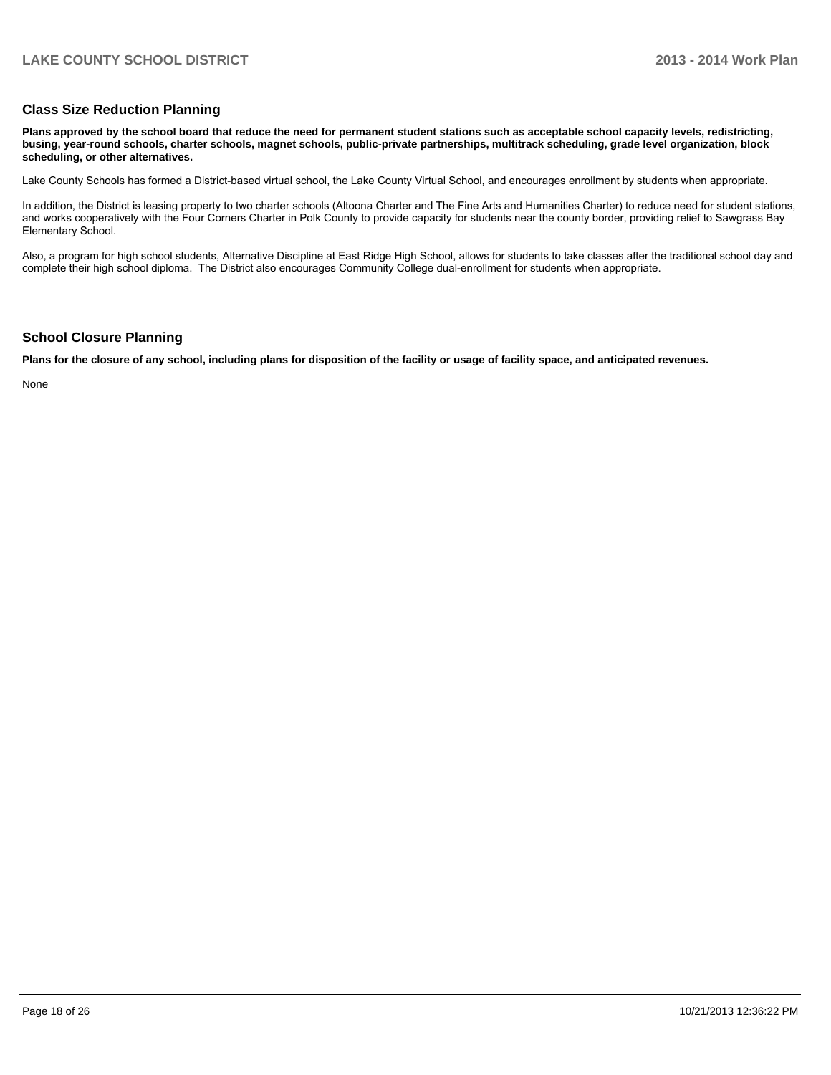#### **Class Size Reduction Planning**

**Plans approved by the school board that reduce the need for permanent student stations such as acceptable school capacity levels, redistricting, busing, year-round schools, charter schools, magnet schools, public-private partnerships, multitrack scheduling, grade level organization, block scheduling, or other alternatives.**

Lake County Schools has formed a District-based virtual school, the Lake County Virtual School, and encourages enrollment by students when appropriate.

In addition, the District is leasing property to two charter schools (Altoona Charter and The Fine Arts and Humanities Charter) to reduce need for student stations, and works cooperatively with the Four Corners Charter in Polk County to provide capacity for students near the county border, providing relief to Sawgrass Bay Elementary School.

Also, a program for high school students, Alternative Discipline at East Ridge High School, allows for students to take classes after the traditional school day and complete their high school diploma. The District also encourages Community College dual-enrollment for students when appropriate.

#### **School Closure Planning**

**Plans for the closure of any school, including plans for disposition of the facility or usage of facility space, and anticipated revenues.**

None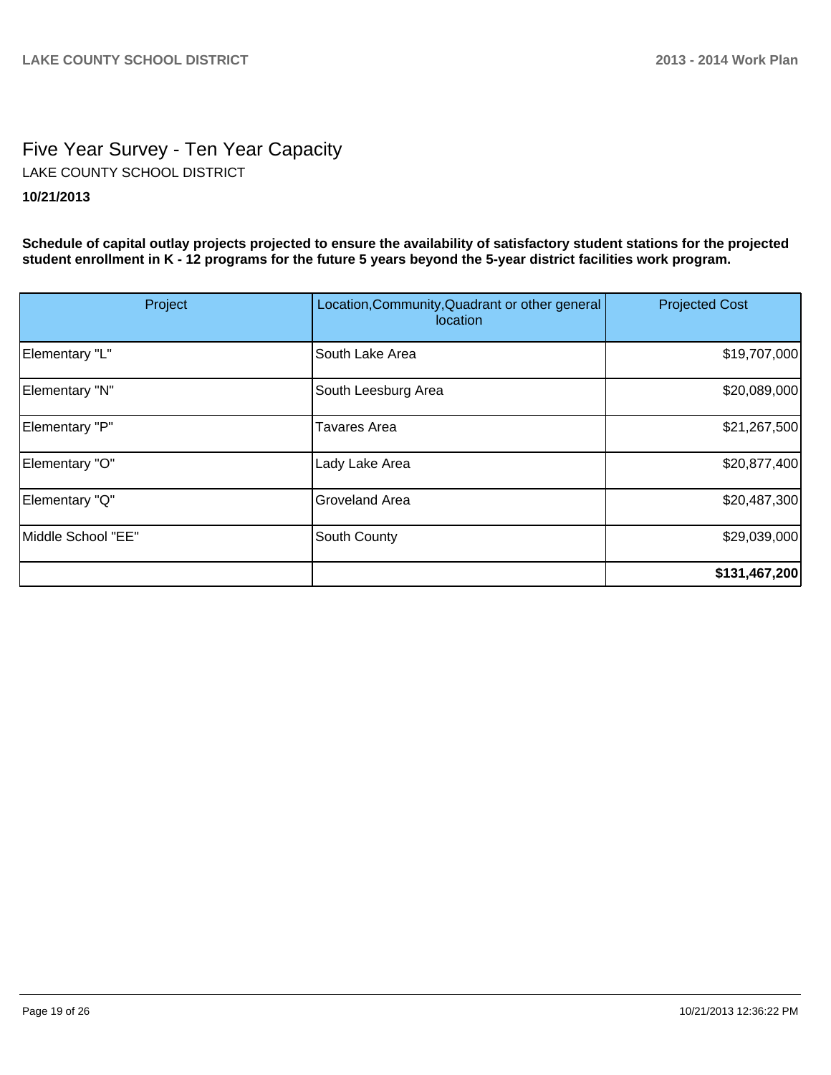# Five Year Survey - Ten Year Capacity **10/21/2013** LAKE COUNTY SCHOOL DISTRICT

**Schedule of capital outlay projects projected to ensure the availability of satisfactory student stations for the projected student enrollment in K - 12 programs for the future 5 years beyond the 5-year district facilities work program.**

| Project            | Location, Community, Quadrant or other general<br>location | <b>Projected Cost</b> |
|--------------------|------------------------------------------------------------|-----------------------|
| Elementary "L"     | South Lake Area                                            | \$19,707,000          |
| Elementary "N"     | South Leesburg Area                                        | \$20,089,000          |
| Elementary "P"     | Tavares Area                                               | \$21,267,500          |
| Elementary "O"     | Lady Lake Area                                             | \$20,877,400          |
| Elementary "Q"     | <b>Groveland Area</b>                                      | \$20,487,300          |
| Middle School "EE" | South County                                               | \$29,039,000          |
|                    |                                                            | \$131,467,200         |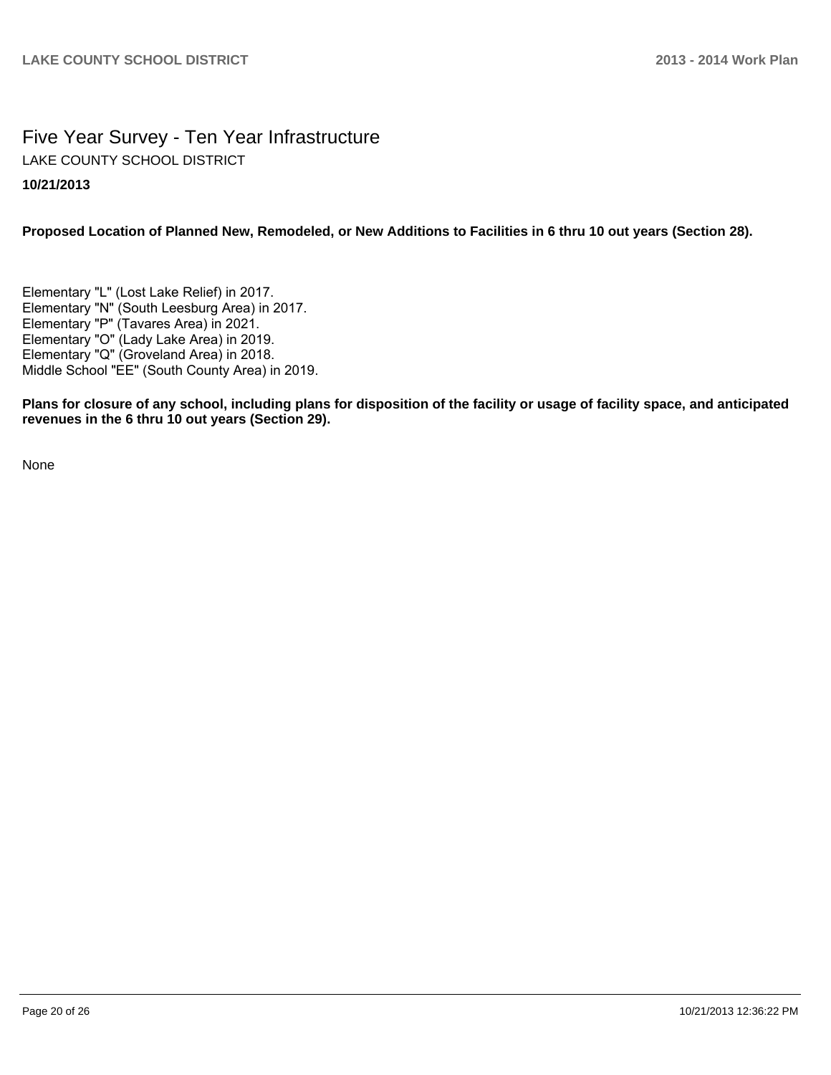### Five Year Survey - Ten Year Infrastructure **10/21/2013** LAKE COUNTY SCHOOL DISTRICT

#### **Proposed Location of Planned New, Remodeled, or New Additions to Facilities in 6 thru 10 out years (Section 28).**

Elementary "L" (Lost Lake Relief) in 2017. Elementary "N" (South Leesburg Area) in 2017. Elementary "P" (Tavares Area) in 2021. Elementary "O" (Lady Lake Area) in 2019. Elementary "Q" (Groveland Area) in 2018. Middle School "EE" (South County Area) in 2019.

**Plans for closure of any school, including plans for disposition of the facility or usage of facility space, and anticipated revenues in the 6 thru 10 out years (Section 29).**

None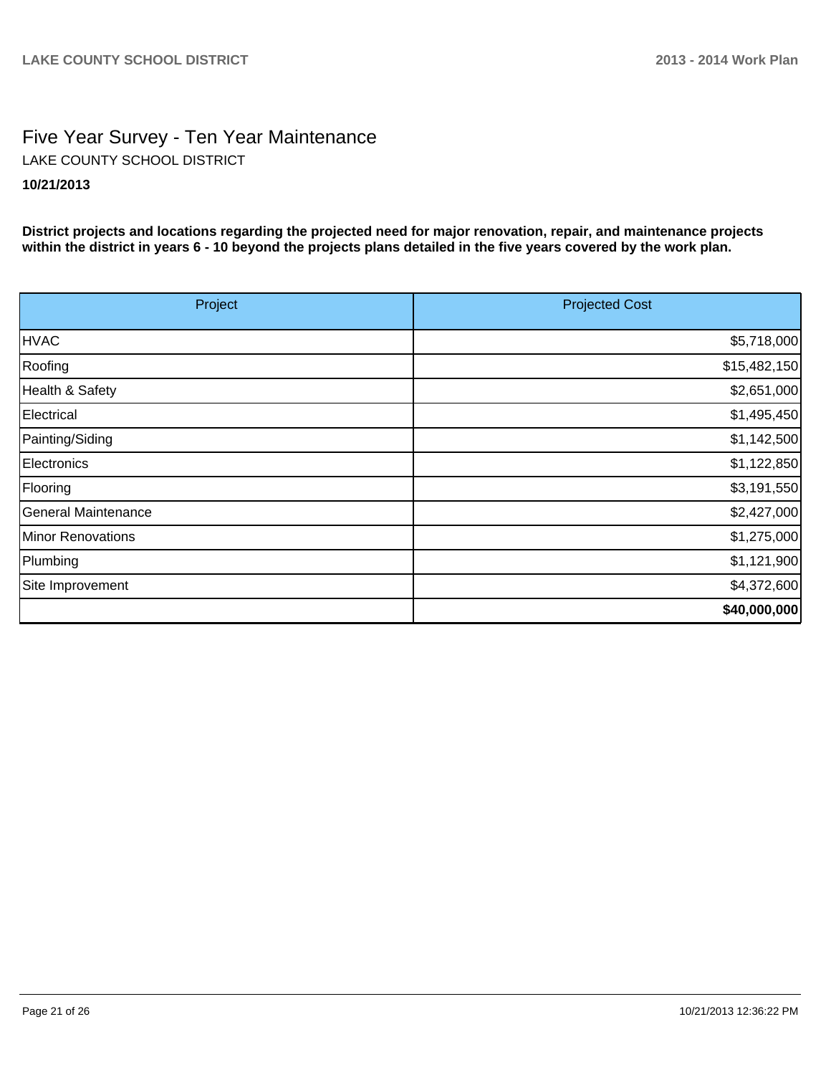# Five Year Survey - Ten Year Maintenance **10/21/2013** LAKE COUNTY SCHOOL DISTRICT

**District projects and locations regarding the projected need for major renovation, repair, and maintenance projects within the district in years 6 - 10 beyond the projects plans detailed in the five years covered by the work plan.**

| Project             | <b>Projected Cost</b> |
|---------------------|-----------------------|
| <b>HVAC</b>         | \$5,718,000           |
| Roofing             | \$15,482,150          |
| Health & Safety     | \$2,651,000           |
| Electrical          | \$1,495,450           |
| Painting/Siding     | \$1,142,500           |
| Electronics         | \$1,122,850           |
| Flooring            | \$3,191,550           |
| General Maintenance | \$2,427,000           |
| Minor Renovations   | \$1,275,000           |
| Plumbing            | \$1,121,900           |
| Site Improvement    | \$4,372,600           |
|                     | \$40,000,000          |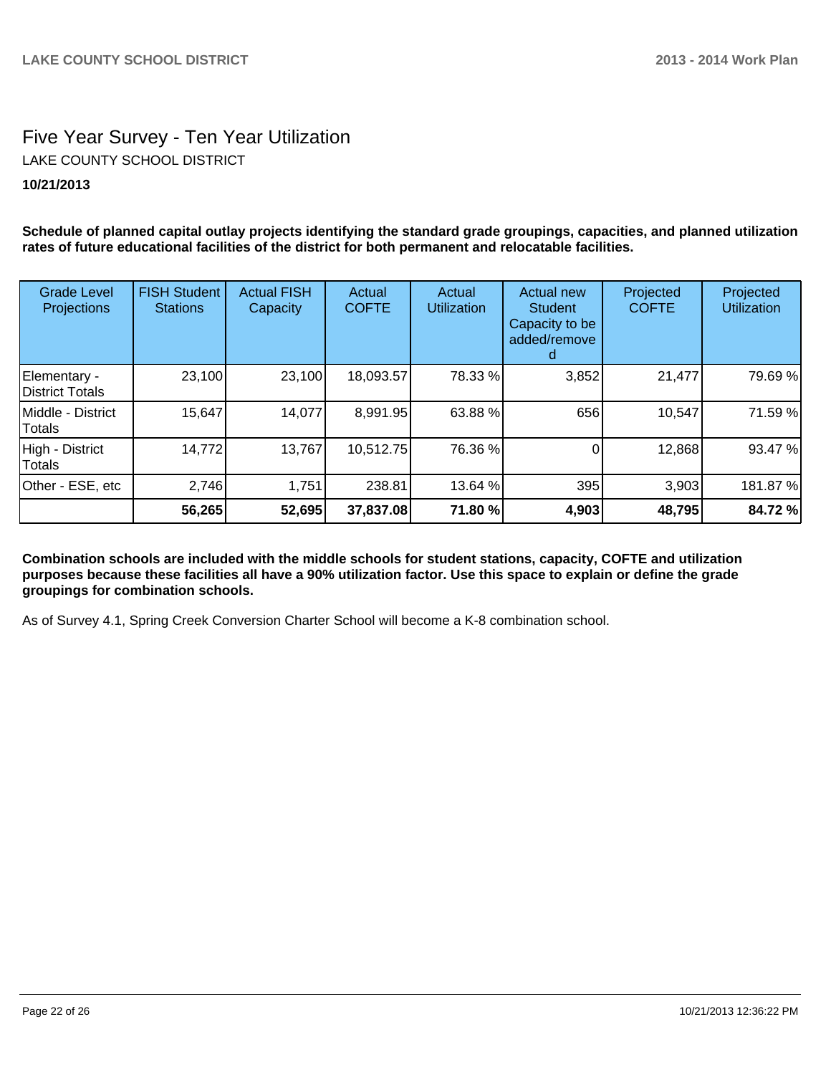# Five Year Survey - Ten Year Utilization **10/21/2013** LAKE COUNTY SCHOOL DISTRICT

**Schedule of planned capital outlay projects identifying the standard grade groupings, capacities, and planned utilization rates of future educational facilities of the district for both permanent and relocatable facilities.**

| <b>Grade Level</b><br>Projections | <b>FISH Student</b><br><b>Stations</b> | <b>Actual FISH</b><br>Capacity | Actual<br><b>COFTE</b> | Actual<br><b>Utilization</b> | Actual new<br><b>Student</b><br>Capacity to be<br>added/remove | Projected<br><b>COFTE</b> | Projected<br><b>Utilization</b> |
|-----------------------------------|----------------------------------------|--------------------------------|------------------------|------------------------------|----------------------------------------------------------------|---------------------------|---------------------------------|
| Elementary -<br>District Totals   | 23,100                                 | 23,100                         | 18,093.57              | 78.33 %                      | 3,852                                                          | 21,477                    | 79.69 %                         |
| Middle - District<br>Totals       | 15,647                                 | 14,077                         | 8,991.95               | 63.88 %                      | 656                                                            | 10,547                    | 71.59 %                         |
| High - District<br>Totals         | 14,772                                 | 13,767                         | 10,512.75              | 76.36 %                      |                                                                | 12,868                    | 93.47 %                         |
| Other - ESE, etc                  | 2,746                                  | 1,751                          | 238.81                 | 13.64 %                      | 395                                                            | 3,903                     | 181.87%                         |
|                                   | 56,265                                 | 52,695                         | 37,837.08              | 71.80 %                      | 4,903                                                          | 48,795                    | 84.72 %                         |

**Combination schools are included with the middle schools for student stations, capacity, COFTE and utilization purposes because these facilities all have a 90% utilization factor. Use this space to explain or define the grade groupings for combination schools.**

As of Survey 4.1, Spring Creek Conversion Charter School will become a K-8 combination school.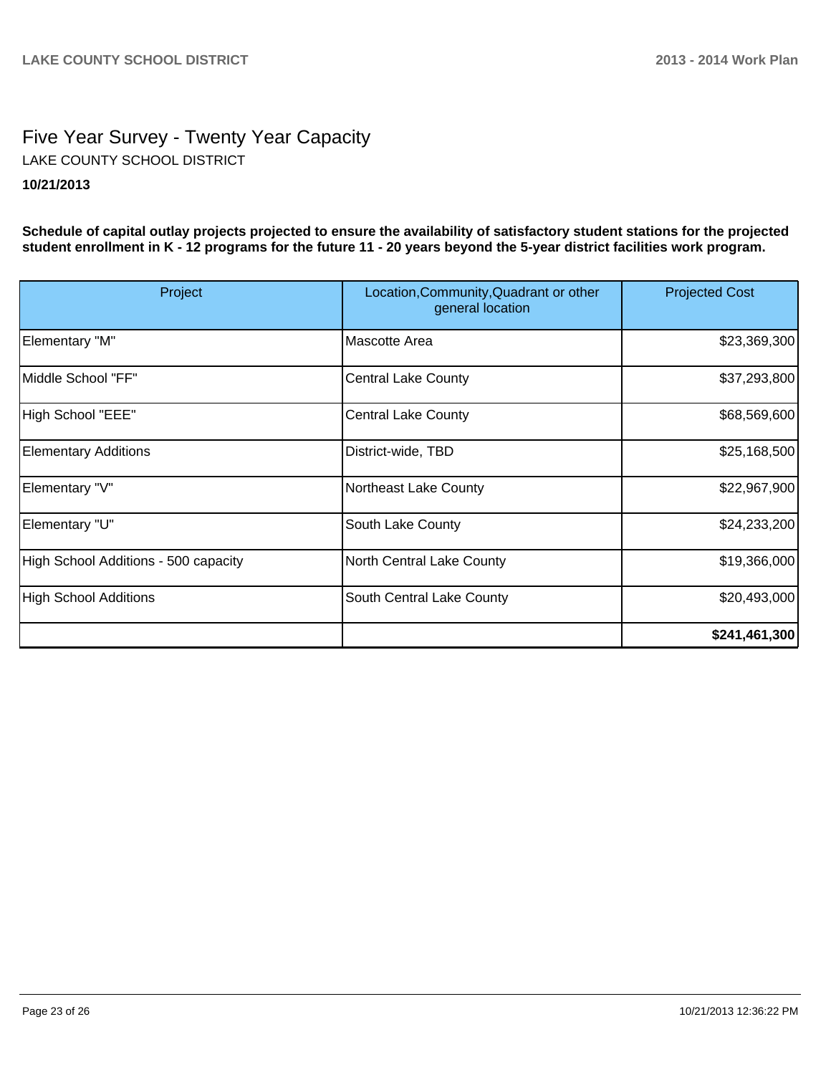## Five Year Survey - Twenty Year Capacity **10/21/2013** LAKE COUNTY SCHOOL DISTRICT

**Schedule of capital outlay projects projected to ensure the availability of satisfactory student stations for the projected student enrollment in K - 12 programs for the future 11 - 20 years beyond the 5-year district facilities work program.**

| Project                              | Location, Community, Quadrant or other<br>general location | <b>Projected Cost</b> |
|--------------------------------------|------------------------------------------------------------|-----------------------|
| Elementary "M"                       | lMascotte Area                                             | \$23,369,300          |
| Middle School "FF"                   | <b>Central Lake County</b>                                 | \$37,293,800          |
| High School "EEE"                    | <b>Central Lake County</b>                                 | \$68,569,600          |
| <b>Elementary Additions</b>          | District-wide, TBD                                         | \$25,168,500          |
| Elementary "V"                       | Northeast Lake County                                      | \$22,967,900          |
| Elementary "U"                       | South Lake County                                          | \$24,233,200          |
| High School Additions - 500 capacity | North Central Lake County                                  | \$19,366,000          |
| High School Additions                | South Central Lake County                                  | \$20,493,000          |
|                                      |                                                            | \$241,461,300         |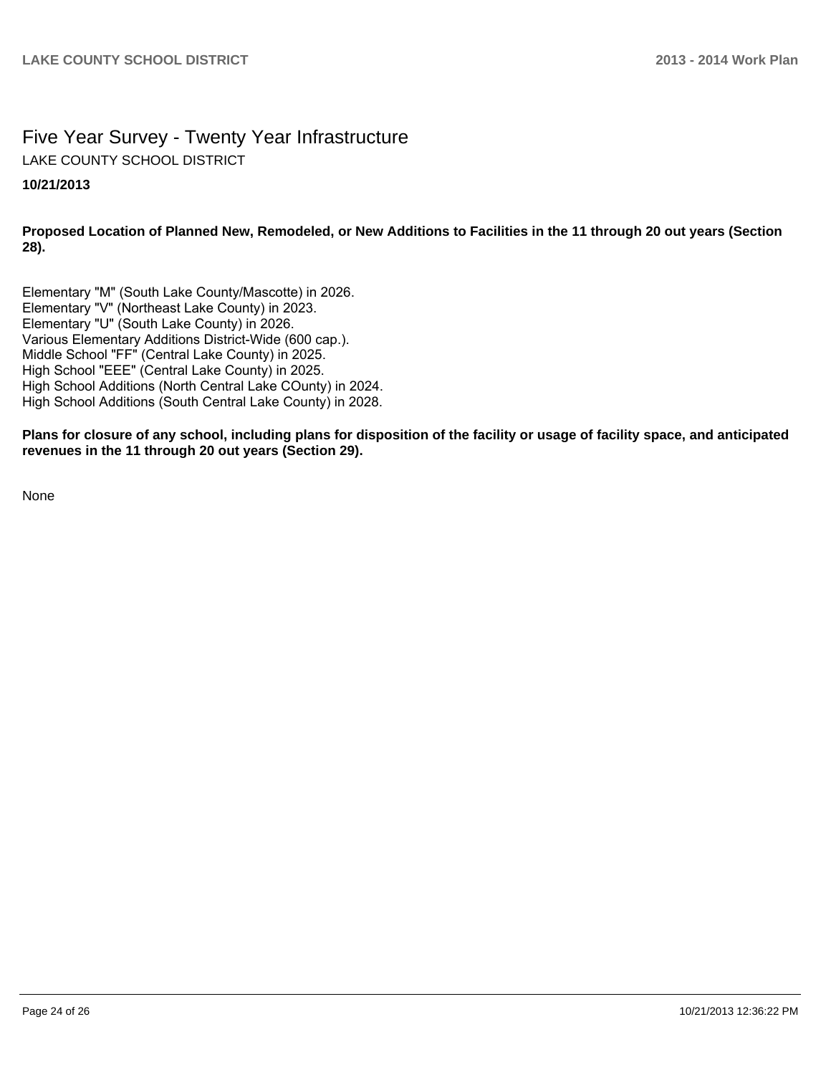# Five Year Survey - Twenty Year Infrastructure LAKE COUNTY SCHOOL DISTRICT

#### **10/21/2013**

**Proposed Location of Planned New, Remodeled, or New Additions to Facilities in the 11 through 20 out years (Section 28).**

Elementary "M" (South Lake County/Mascotte) in 2026. Elementary "V" (Northeast Lake County) in 2023. Elementary "U" (South Lake County) in 2026. Various Elementary Additions District-Wide (600 cap.). Middle School "FF" (Central Lake County) in 2025. High School "EEE" (Central Lake County) in 2025. High School Additions (North Central Lake COunty) in 2024. High School Additions (South Central Lake County) in 2028.

**Plans for closure of any school, including plans for disposition of the facility or usage of facility space, and anticipated revenues in the 11 through 20 out years (Section 29).**

None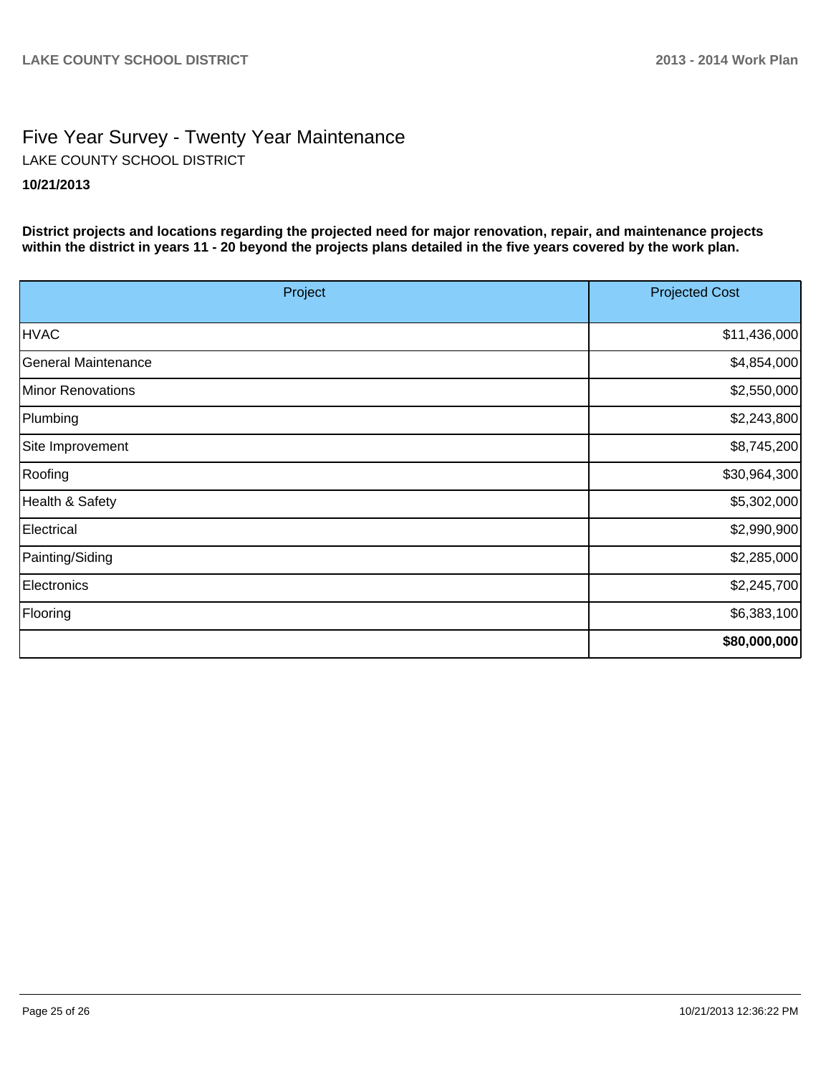# Five Year Survey - Twenty Year Maintenance **10/21/2013** LAKE COUNTY SCHOOL DISTRICT

**District projects and locations regarding the projected need for major renovation, repair, and maintenance projects within the district in years 11 - 20 beyond the projects plans detailed in the five years covered by the work plan.**

| Project                    | <b>Projected Cost</b> |
|----------------------------|-----------------------|
| <b>HVAC</b>                | \$11,436,000          |
| <b>General Maintenance</b> | \$4,854,000           |
| Minor Renovations          | \$2,550,000           |
| Plumbing                   | \$2,243,800           |
| Site Improvement           | \$8,745,200           |
| Roofing                    | \$30,964,300          |
| Health & Safety            | \$5,302,000           |
| Electrical                 | \$2,990,900           |
| Painting/Siding            | \$2,285,000           |
| Electronics                | \$2,245,700           |
| Flooring                   | \$6,383,100           |
|                            | \$80,000,000          |